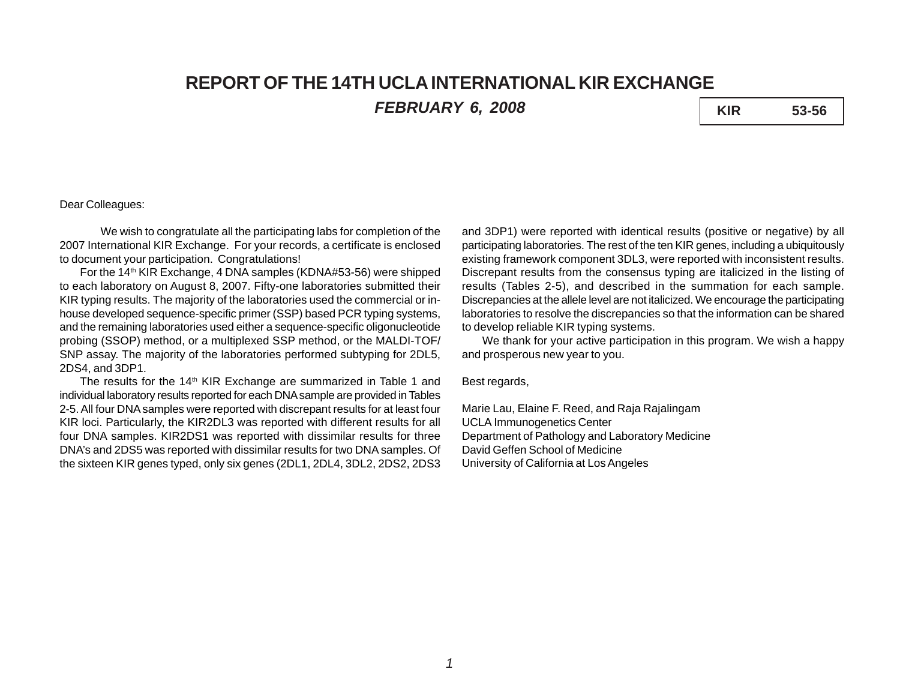# **REPORT OF THE 14TH UCLA INTERNATIONAL KIR EXCHANGE** *FEBRUARY 6, 2008* **KIR 53-56**

## Dear Colleagues:

We wish to congratulate all the participating labs for completion of the 2007 International KIR Exchange. For your records, a certificate is enclosed to document your participation. Congratulations!

For the 14<sup>th</sup> KIR Exchange, 4 DNA samples (KDNA#53-56) were shipped to each laboratory on August 8, 2007. Fifty-one laboratories submitted their KIR typing results. The majority of the laboratories used the commercial or inhouse developed sequence-specific primer (SSP) based PCR typing systems, and the remaining laboratories used either a sequence-specific oligonucleotide probing (SSOP) method, or a multiplexed SSP method, or the MALDI-TOF/ SNP assay. The majority of the laboratories performed subtyping for 2DL5, 2DS4, and 3DP1.

The results for the 14<sup>th</sup> KIR Exchange are summarized in Table 1 and individual laboratory results reported for each DNA sample are provided in Tables 2-5. All four DNA samples were reported with discrepant results for at least four KIR loci. Particularly, the KIR2DL3 was reported with different results for all four DNA samples. KIR2DS1 was reported with dissimilar results for three DNA's and 2DS5 was reported with dissimilar results for two DNA samples. Of the sixteen KIR genes typed, only six genes (2DL1, 2DL4, 3DL2, 2DS2, 2DS3

and 3DP1) were reported with identical results (positive or negative) by all participating laboratories. The rest of the ten KIR genes, including a ubiquitously existing framework component 3DL3, were reported with inconsistent results. Discrepant results from the consensus typing are italicized in the listing of results (Tables 2-5), and described in the summation for each sample. Discrepancies at the allele level are not italicized. We encourage the participating laboratories to resolve the discrepancies so that the information can be shared to develop reliable KIR typing systems.

We thank for your active participation in this program. We wish a happy and prosperous new year to you.

Best regards,

Marie Lau, Elaine F. Reed, and Raja Rajalingam UCLA Immunogenetics Center Department of Pathology and Laboratory Medicine David Geffen School of Medicine University of California at Los Angeles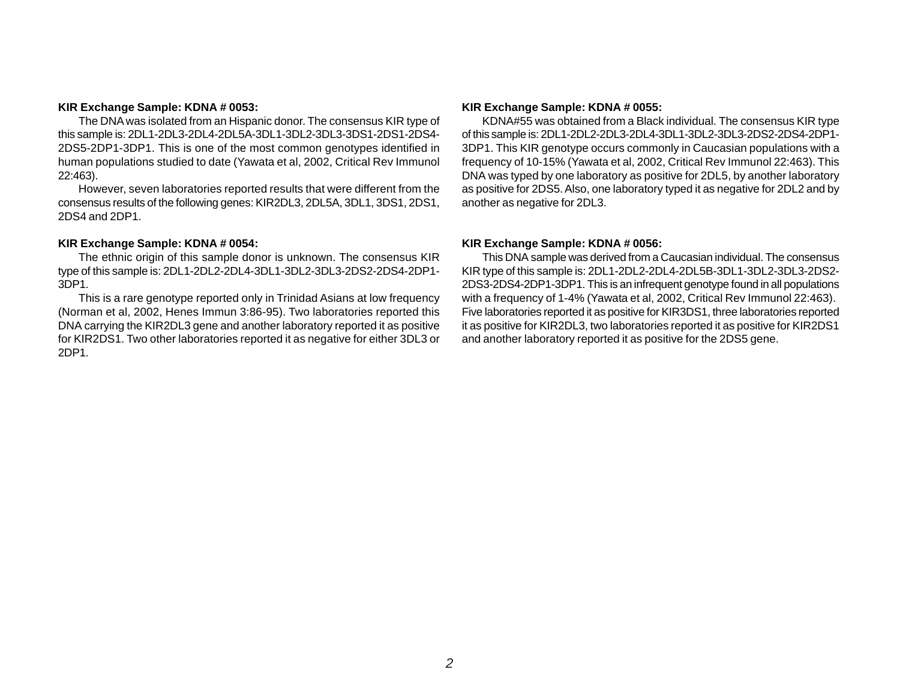#### **KIR Exchange Sample: KDNA # 0053:**

The DNA was isolated from an Hispanic donor. The consensus KIR type of this sample is: 2DL1-2DL3-2DL4-2DL5A-3DL1-3DL2-3DL3-3DS1-2DS1-2DS4- 2DS5-2DP1-3DP1. This is one of the most common genotypes identified in human populations studied to date (Yawata et al, 2002, Critical Rev Immunol 22:463).

However, seven laboratories reported results that were different from the consensus results of the following genes: KIR2DL3, 2DL5A, 3DL1, 3DS1, 2DS1, 2DS4 and 2DP1.

#### **KIR Exchange Sample: KDNA # 0054:**

The ethnic origin of this sample donor is unknown. The consensus KIR type of this sample is: 2DL1-2DL2-2DL4-3DL1-3DL2-3DL3-2DS2-2DS4-2DP1- 3DP1.

This is a rare genotype reported only in Trinidad Asians at low frequency (Norman et al, 2002, Henes Immun 3:86-95). Two laboratories reported this DNA carrying the KIR2DL3 gene and another laboratory reported it as positive for KIR2DS1. Two other laboratories reported it as negative for either 3DL3 or 2DP1.

#### **KIR Exchange Sample: KDNA # 0055:**

KDNA#55 was obtained from a Black individual. The consensus KIR type of this sample is: 2DL1-2DL2-2DL3-2DL4-3DL1-3DL2-3DL3-2DS2-2DS4-2DP1- 3DP1. This KIR genotype occurs commonly in Caucasian populations with a frequency of 10-15% (Yawata et al, 2002, Critical Rev Immunol 22:463). This DNA was typed by one laboratory as positive for 2DL5, by another laboratory as positive for 2DS5. Also, one laboratory typed it as negative for 2DL2 and by another as negative for 2DL3.

### **KIR Exchange Sample: KDNA # 0056:**

This DNA sample was derived from a Caucasian individual. The consensus KIR type of this sample is: 2DL1-2DL2-2DL4-2DL5B-3DL1-3DL2-3DL3-2DS2- 2DS3-2DS4-2DP1-3DP1. This is an infrequent genotype found in all populations with a frequency of 1-4% (Yawata et al, 2002, Critical Rev Immunol 22:463). Five laboratories reported it as positive for KIR3DS1, three laboratories reported it as positive for KIR2DL3, two laboratories reported it as positive for KIR2DS1 and another laboratory reported it as positive for the 2DS5 gene.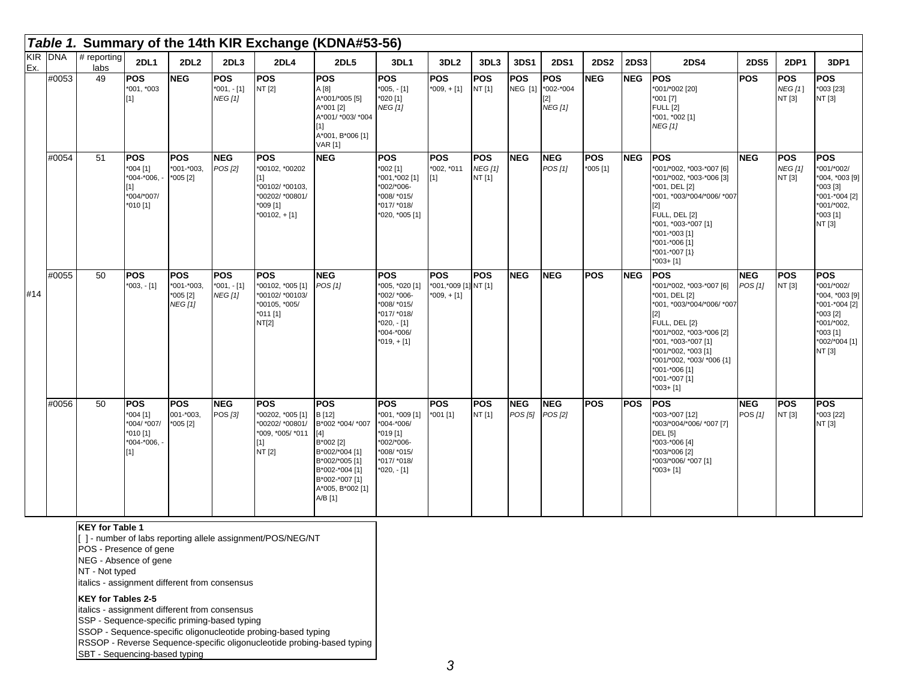|     |         |                       |                                                                                |                                                         |                                              |                                                                                                         | Table 1. Summary of the 14th KIR Exchange (KDNA#53-56)                                                                                                                |                                                                                                                         |                                                     |                                        |                               |                                                         |                   |             |                                                                                                                                                                                                                                                                          |                       |                                        |                                                                                                                                |
|-----|---------|-----------------------|--------------------------------------------------------------------------------|---------------------------------------------------------|----------------------------------------------|---------------------------------------------------------------------------------------------------------|-----------------------------------------------------------------------------------------------------------------------------------------------------------------------|-------------------------------------------------------------------------------------------------------------------------|-----------------------------------------------------|----------------------------------------|-------------------------------|---------------------------------------------------------|-------------------|-------------|--------------------------------------------------------------------------------------------------------------------------------------------------------------------------------------------------------------------------------------------------------------------------|-----------------------|----------------------------------------|--------------------------------------------------------------------------------------------------------------------------------|
| Ex. | KIR DNA | $#$ reporting<br>labs | <b>2DL1</b>                                                                    | 2DL2                                                    | 2DL3                                         | 2DL4                                                                                                    | <b>2DL5</b>                                                                                                                                                           | 3DL1                                                                                                                    | 3DL <sub>2</sub>                                    | 3DL3                                   | 3DS1                          | <b>2DS1</b>                                             | <b>2DS2</b>       | <b>2DS3</b> | <b>2DS4</b>                                                                                                                                                                                                                                                              | <b>2DS5</b>           | <b>2DP1</b>                            | 3DP1                                                                                                                           |
|     | #0053   | 49                    | <b>POS</b><br>*001, *003<br>$[1]$                                              | <b>NEG</b>                                              | <b>POS</b><br>$*001, -[1]$<br><b>NEG</b> [1] | <b>POS</b><br>NT [2]                                                                                    | <b>POS</b><br>A [8]<br>A*001/*005 [5]<br>A*001 [2]<br>A*001/ *003/ *004<br>$[1]$<br>A*001, B*006 [1]<br><b>VAR [1]</b>                                                | <b>POS</b><br>$*005, -[1]$<br>$*020$ [1]<br><b>NEG [1]</b>                                                              | <b>POS</b><br>$*009, +[1]$                          | <b>POS</b><br>NT [1]                   | <b>POS</b>                    | <b>POS</b><br>NEG [1] *002-*004<br>21<br><b>NEG</b> [1] | <b>NEG</b>        | <b>NEG</b>  | <b>POS</b><br>*001/*002 [20]<br>$*001$ [7]<br><b>FULL [2]</b><br>*001, *002 [1]<br><b>NEG</b> [1]                                                                                                                                                                        | <b>POS</b>            | <b>POS</b><br><b>NEG</b> [1]<br>NT [3] | <b>POS</b><br>*003 [23]<br>NT [3]                                                                                              |
|     | #0054   | 51                    | <b>POS</b><br>$*004$ [1]<br>$*004-*006, -$<br>[1]<br>*004/*007/<br>$*010$ [1]  | <b>POS</b><br>*001-*003,<br>$*005 [2]$                  | <b>NEG</b><br>POS [2]                        | <b>POS</b><br>*00102, *00202<br>[1]<br>*00102/ *00103,<br>00202/ *00801/<br>*009 [1]<br>$*00102, + [1]$ | <b>NEG</b>                                                                                                                                                            | <b>POS</b><br>$*002$ [1]<br>*001,*002 [1]<br>*002/*006-<br>*008/ *015/<br>*017/ *018/<br>*020, *005 [1]                 | <b>POS</b><br>*002, *011<br>[1]                     | <b>POS</b><br><b>NEG [1]</b><br>NT [1] | <b>NEG</b>                    | <b>NEG</b><br>POS [1]                                   | POS<br>$*005$ [1] | <b>NEG</b>  | <b>POS</b><br>*001/*002, *003-*007 [6]<br>*001/*002, *003-*006 [3]<br>*001, DEL [2]<br>*001, *003/*004/*006/ *007<br>$[2]$<br>FULL, DEL [2]<br>*001, *003-*007 [1]<br>*001-*003 [1]<br>*001-*006 [1]<br>*001-*007 [1}<br>$*003 + [1]$                                    | <b>NEG</b>            | <b>POS</b><br><b>NEG [1]</b><br>NT [3] | <b>POS</b><br>*001/*002/<br>*004, *003 [9]<br>$*003$ [3]<br>*001-*004 [2]<br>*001/*002,<br>$*003$ [1]<br>NT [3]                |
| #14 | #0055   | 50                    | <b>POS</b><br>$*003, -[1]$                                                     | <b>POS</b><br>*001-*003,<br>$*005[2]$<br><b>NEG</b> [1] | <b>POS</b><br>$*001, -[1]$<br><b>NEG [1]</b> | <b>POS</b><br>*00102, *005 [1]<br>*00102/ *00103/<br>*00105, *005/<br>*011 [1]<br>NT[2]                 | <b>NEG</b><br>POS [1]                                                                                                                                                 | <b>POS</b><br>*005, *020 [1]<br>*002/ *006-<br>*008/ *015/<br>*017/ *018/<br>$*020, -[1]$<br>*004-*006/<br>$*019, +[1]$ | <b>POS</b><br>*001,*009 [1] NT [1]<br>$*009, + [1]$ | <b>POS</b>                             | <b>NEG</b>                    | <b>NEG</b>                                              | <b>POS</b>        | <b>NEG</b>  | <b>POS</b><br>*001/*002, *003-*007 [6]<br>*001, DEL [2]<br>*001, *003/*004/*006/ *007<br>$[2]$<br>FULL, DEL [2}<br>*001/*002, *003-*006 [2]<br>*001, *003-*007 [1]<br>*001/*002, *003 [1]<br>*001/*002, *003/ *006 {1]<br>*001-*006 [1]<br>*001-*007 [1]<br>$*003 + [1]$ | <b>NEG</b><br>POS [1] | POS<br>NT [3]                          | <b>POS</b><br>*001/*002/<br>*004, *003 [9]<br>*001-*004 [2]<br>$*003$ [2]<br>*001/*002,<br>*003 [1]<br>*002/*004 [1]<br>NT [3] |
|     | #0056   | 50                    | <b>POS</b><br>$*004$ [1]<br>*004/ *007/<br>$*010$ [1]<br>$*004-*006, -$<br>[1] | <b>POS</b><br>$001 - 003$ ,<br>$*005$ [2]               | <b>NEG</b><br>POS [3]                        | <b>POS</b><br>*00202, *005 [1]<br>*00202/ *00801/<br>*009, *005/ *011<br>$[1]$<br>NT [2]                | <b>POS</b><br>B [12]<br>B*002 *004/ *007<br>$[4]$<br>B*002 [2]<br>B*002/*004 [1]<br>B*002/*005 [1]<br>B*002-*004 [1]<br>B*002-*007 [1]<br>A*005, B*002 [1]<br>A/B [1] | <b>POS</b><br>*001, *009 [1]<br>*004-*006/<br>$*019$ [1]<br>*002/*006-<br>*008/ *015/<br>*017/ *018/<br>$*020, -[1]$    | <b>POS</b><br>$*001$ [1]                            | <b>POS</b><br>NT [1]                   | <b>NEG</b><br>POS [5] POS [2] | <b>NEG</b>                                              | <b>POS</b>        | <b>POS</b>  | <b>POS</b><br>*003-*007 [12]<br>*003/*004/*006/ *007 [7]<br><b>DEL</b> [5]<br>*003-*006 [4]<br>*003/*006 [2]<br>*003/*006/ *007 [1]<br>$*003 + [1]$                                                                                                                      | <b>NEG</b><br>POS [1] | <b>POS</b><br>NT [3]                   | <b>POS</b><br>*003 [22]<br>NT [3]                                                                                              |

#### **KEY for Table 1**

[ ] - number of labs reporting allele assignment/POS/NEG/NT

POS - Presence of gene

NEG - Absence of gene

NT - Not typed

italics - assignment different from consensus

#### **KEY for Tables 2-5**

italics - assignment different from consensus

SSP - Sequence-specific priming-based typing

SSOP - Sequence-specific oligonucleotide probing-based typing

RSSOP - Reverse Sequence-specific oligonucleotide probing-based typing

SBT - Sequencing-based typing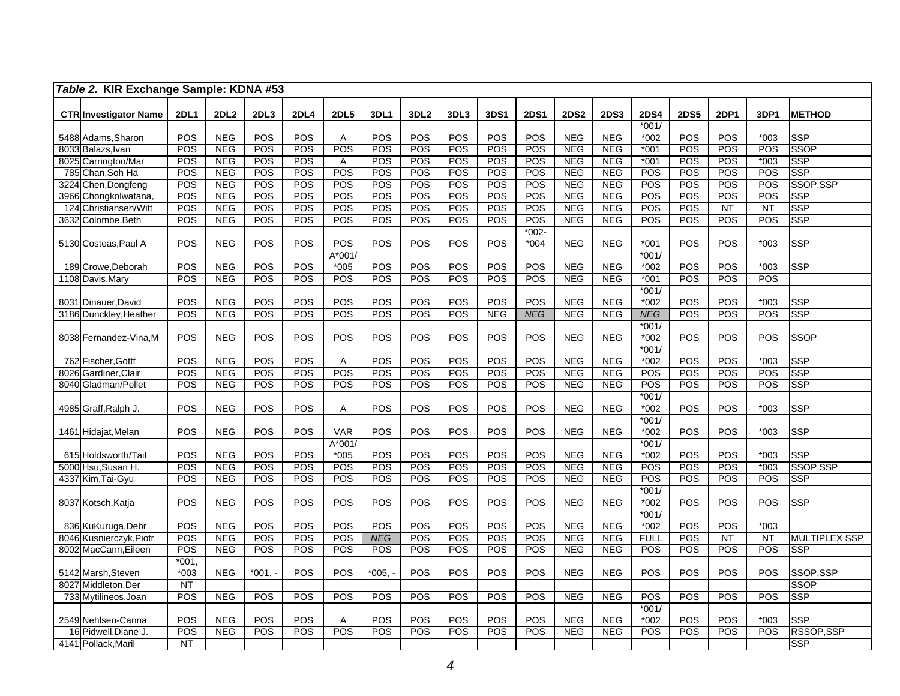|      | Table 2. KIR Exchange Sample: KDNA #53 |                        |                  |            |             |                |            |                  |            |            |             |             |             |                          |             |                 |                  |                      |
|------|----------------------------------------|------------------------|------------------|------------|-------------|----------------|------------|------------------|------------|------------|-------------|-------------|-------------|--------------------------|-------------|-----------------|------------------|----------------------|
|      |                                        | <b>2DL1</b>            | 2DL <sub>2</sub> | 2DL3       | <b>2DL4</b> | <b>2DL5</b>    | 3DL1       | 3DL <sub>2</sub> | 3DL3       | 3DS1       | <b>2DS1</b> | <b>2DS2</b> | <b>2DS3</b> | <b>2DS4</b>              | <b>2DS5</b> | <b>2DP1</b>     |                  |                      |
|      | <b>CTR Investigator Name</b>           |                        |                  |            |             |                |            |                  |            |            |             |             |             | $*001/$                  |             |                 | 3DP1             | <b>METHOD</b>        |
|      | 5488 Adams, Sharon                     | POS                    | <b>NEG</b>       | POS        | <b>POS</b>  | Α              | <b>POS</b> | POS              | POS        | POS        | POS         | <b>NEG</b>  | <b>NEG</b>  | $*002$                   | POS         | POS             | $*003$           | SSP                  |
|      | 8033 Balazs, Ivan                      | POS                    | <b>NEG</b>       | POS        | POS         | POS            | POS        | POS              | POS        | POS        | POS         | <b>NEG</b>  | <b>NEG</b>  | $*001$                   | POS         | POS             | POS              | SSOP                 |
|      | 8025 Carrington/Mar                    | POS                    | <b>NEG</b>       | POS        | POS         | $\overline{A}$ | POS        | POS              | POS        | POS        | POS         | <b>NEG</b>  | <b>NEG</b>  | $*001$                   | POS         | POS             | $*003$           | <b>SSP</b>           |
|      | 785 Chan, Soh Ha                       | POS                    | <b>NEG</b>       | POS        | POS         | POS            | POS        | POS              | POS        | POS        | POS         | <b>NEG</b>  | <b>NEG</b>  | <b>POS</b>               | POS         | POS             | POS              | <b>SSP</b>           |
| 3224 | Chen, Dongfeng                         | POS                    | <b>NEG</b>       | POS        | POS         | POS            | POS        | POS              | POS        | POS        | POS         | <b>NEG</b>  | <b>NEG</b>  | <b>POS</b>               | POS         | <b>POS</b>      | POS              | SSOP, SSP            |
|      | 3966 Chongkolwatana                    | POS                    | <b>NEG</b>       | POS        | POS         | POS            | POS        | POS              | POS        | POS        | POS         | NEG         | <b>NEG</b>  | <b>POS</b>               | POS         | POS             | POS              | <b>SSP</b>           |
|      | 124 Christiansen/Witt                  | POS                    | <b>NEG</b>       | POS        | POS         | POS            | POS        | POS              | POS        | POS        | POS         | <b>NEG</b>  | <b>NEG</b>  | POS                      | POS         | $\overline{NT}$ | $\overline{NT}$  | <b>SSP</b>           |
|      | 3632 Colombe, Beth                     | POS                    | <b>NEG</b>       | POS        | POS         | POS            | POS        | POS              | POS        | POS        | POS         | <b>NEG</b>  | <b>NEG</b>  | POS                      | POS         | POS             | $\overline{POS}$ | <b>SSP</b>           |
|      |                                        |                        |                  |            |             |                |            |                  |            |            | $*002 -$    |             |             |                          |             |                 |                  |                      |
|      | 5130 Costeas, Paul A                   | POS                    | <b>NEG</b>       | POS        | POS         | POS            | POS        | POS              | POS        | POS        | $*004$      | <b>NEG</b>  | <b>NEG</b>  | $*001$                   | POS         | POS             | $*003$           | SSP                  |
|      |                                        |                        |                  |            |             | A*001/         |            |                  |            |            |             |             |             | $*001/$                  |             |                 |                  |                      |
|      | 189 Crowe.Deborah                      | POS                    | <b>NEG</b>       | POS        | <b>POS</b>  | $*005$         | <b>POS</b> | POS              | POS        | POS        | POS         | <b>NEG</b>  | <b>NEG</b>  | $*002$                   | POS         | <b>POS</b>      | $*003$           | <b>SSP</b>           |
|      | 1108 Davis, Mary                       | POS                    | <b>NEG</b>       | POS        | POS         | POS            | POS        | POS              | POS        | POS        | POS         | <b>NEG</b>  | <b>NEG</b>  | $*001$<br>$*001/$        | POS         | <b>POS</b>      | POS              |                      |
|      | 8031 Dinauer, David                    | POS                    | <b>NEG</b>       | POS        | POS         | POS            | POS        | POS              | POS        | POS        | POS         | <b>NEG</b>  | <b>NEG</b>  | $*002$                   | POS         | POS             | $*003$           | <b>SSP</b>           |
|      | 3186 Dunckley, Heather                 | POS                    | <b>NEG</b>       | POS        | POS         | POS            | POS        | POS              | POS        | <b>NEG</b> | <b>NEG</b>  | <b>NEG</b>  | <b>NEG</b>  | <b>NEG</b>               | POS         | POS             | POS              | <b>SSP</b>           |
|      |                                        |                        |                  |            |             |                |            |                  |            |            |             |             |             | $*001/$                  |             |                 |                  |                      |
|      | 8038 Fernandez-Vina, M                 | POS                    | <b>NEG</b>       | POS        | POS         | POS            | POS        | POS              | POS        | POS        | POS         | <b>NEG</b>  | <b>NEG</b>  | $*002$                   | POS         | POS             | <b>POS</b>       | SSOP                 |
|      |                                        |                        |                  |            |             |                |            |                  |            |            |             |             |             | $*001/$                  |             |                 |                  |                      |
|      | 762 Fischer, Gottf                     | POS                    | <b>NEG</b>       | POS        | POS         | Α              | POS        | POS              | POS        | POS        | POS         | <b>NEG</b>  | <b>NEG</b>  | *002                     | POS         | POS             | $*003$           | <b>SSP</b>           |
|      | 8026 Gardiner, Clair                   | POS                    | <b>NEG</b>       | POS        | POS         | POS            | POS        | POS              | POS        | POS        | POS         | <b>NEG</b>  | <b>NEG</b>  | <b>POS</b>               | POS         | <b>POS</b>      | POS              | <b>SSP</b>           |
|      | 8040 Gladman/Pellet                    | POS                    | <b>NEG</b>       | POS        | POS         | POS            | POS        | POS              | POS        | POS        | POS         | <b>NEG</b>  | <b>NEG</b>  | <b>POS</b>               | POS         | POS             | POS              | <b>SSP</b>           |
|      |                                        |                        |                  |            |             |                |            |                  |            |            |             |             |             | $*001/$                  |             |                 |                  |                      |
|      | 4985 Graff,Ralph J.                    | POS                    | <b>NEG</b>       | POS        | <b>POS</b>  | A              | POS        | POS              | POS        | POS        | POS         | <b>NEG</b>  | <b>NEG</b>  | $*002$                   | POS         | POS             | $*003$           | <b>SSP</b>           |
|      |                                        |                        |                  |            |             |                |            |                  |            |            |             |             |             | $*001/$                  |             |                 |                  |                      |
|      | 1461 Hidajat, Melan                    | POS                    | <b>NEG</b>       | POS        | POS         | <b>VAR</b>     | POS        | POS              | POS        | POS        | POS         | <b>NEG</b>  | <b>NEG</b>  | $*002$                   | POS         | POS             | $*003$           | <b>SSP</b>           |
|      |                                        |                        |                  |            |             | A*001/         |            |                  |            |            |             |             |             | $*001/$                  |             |                 |                  |                      |
|      | 615 Holdsworth/Tait                    | POS                    | <b>NEG</b>       | POS        | POS         | $*005$         | POS        | POS              | POS        | POS        | POS         | <b>NEG</b>  | <b>NEG</b>  | $*002$                   | POS         | POS             | $*003$           | <b>SSP</b>           |
|      | 5000 Hsu,Susan H.                      | POS<br>POS             | <b>NEG</b>       | POS<br>POS | POS         | POS<br>POS     | POS        | POS<br>POS       | POS<br>POS | POS<br>POS | POS<br>POS  | <b>NEG</b>  | <b>NEG</b>  | <b>POS</b><br><b>POS</b> | POS<br>POS  | POS             | $*003$           | SSOP,SSP             |
|      | 4337 Kim, Tai-Gyu                      |                        | <b>NEG</b>       |            | POS         |                | POS        |                  |            |            |             | <b>NEG</b>  | <b>NEG</b>  | $*001/$                  |             | POS             | POS              | <b>SSP</b>           |
|      | 8037 Kotsch, Katja                     | POS                    | <b>NEG</b>       | POS        | POS         | POS            | POS        | POS              | POS        | POS        | POS         | <b>NEG</b>  | <b>NEG</b>  | $*002$                   | POS         | POS             | POS              | <b>SSP</b>           |
|      |                                        |                        |                  |            |             |                |            |                  |            |            |             |             |             | $*001/$                  |             |                 |                  |                      |
|      | 836 KuKuruga, Debr                     | POS                    | <b>NEG</b>       | POS        | POS         | POS            | POS        | POS              | POS        | POS        | POS         | <b>NEG</b>  | <b>NEG</b>  | $*002$                   | POS         | <b>POS</b>      | $*003$           |                      |
|      | 8046 Kusnierczyk, Piotr                | POS                    | <b>NEG</b>       | POS        | POS         | POS            | <b>NEG</b> | POS              | POS        | POS        | POS         | <b>NEG</b>  | <b>NEG</b>  | <b>FULL</b>              | POS         | <b>NT</b>       | <b>NT</b>        | <b>MULTIPLEX SSP</b> |
|      | 8002 MacCann, Eileen                   | POS                    | <b>NEG</b>       | POS        | POS         | <b>POS</b>     | POS        | POS              | POS        | POS        | POS         | <b>NEG</b>  | <b>NEG</b>  | POS                      | POS         | <b>POS</b>      | POS              | <b>SSP</b>           |
|      |                                        | $*001,$                |                  |            |             |                |            |                  |            |            |             |             |             |                          |             |                 |                  |                      |
|      | 5142 Marsh, Steven                     | *003                   | <b>NEG</b>       | $*001,$    | <b>POS</b>  | POS            | $*005,$    | POS              | POS        | POS        | POS         | <b>NEG</b>  | <b>NEG</b>  | <b>POS</b>               | POS         | POS             | POS              | SSOP,SSP             |
|      | 8027 Middleton, Der                    | NT                     |                  |            |             |                |            |                  |            |            |             |             |             |                          |             |                 |                  | <b>SSOP</b>          |
|      | 733 Mytilineos, Joan                   | POS                    | <b>NEG</b>       | POS        | POS         | POS            | POS        | POS              | POS        | POS        | POS         | <b>NEG</b>  | <b>NEG</b>  | <b>POS</b>               | POS         | POS             | POS              | <b>SSP</b>           |
|      |                                        |                        |                  |            |             |                |            |                  |            |            |             |             |             | $*001/$                  |             |                 |                  |                      |
|      | 2549 Nehlsen-Canna                     | POS                    | <b>NEG</b>       | POS        | POS         | Α              | POS        | POS              | POS        | POS        | POS         | <b>NEG</b>  | <b>NEG</b>  | $*002$                   | POS         | POS             | $*003$           | <b>SSP</b>           |
|      | 16 Pidwell, Diane J.                   | POS                    | <b>NEG</b>       | POS        | <b>POS</b>  | POS            | POS        | POS              | POS        | POS        | POS         | <b>NEG</b>  | <b>NEG</b>  | POS                      | POS         | POS             | $\overline{POS}$ | RSSOP, SSP           |
|      | 4141 Pollack, Maril                    | $\overline{\text{NT}}$ |                  |            |             |                |            |                  |            |            |             |             |             |                          |             |                 |                  | <b>SSP</b>           |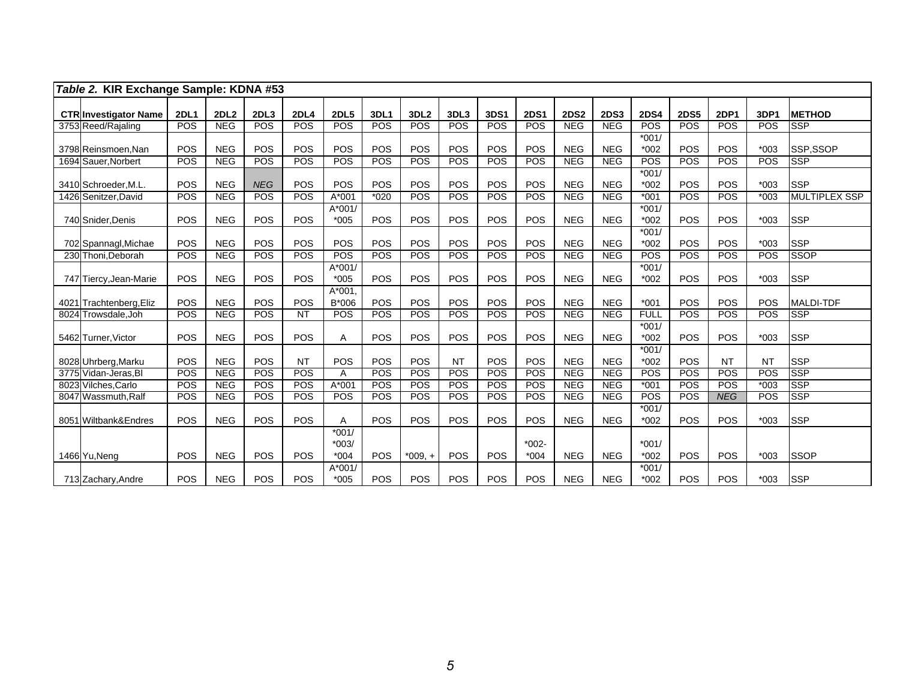| Table 2. KIR Exchange Sample: KDNA #53 |             |                  |            |             |                    |            |                  |            |            |                   |             |             |                   |             |            |            |                  |
|----------------------------------------|-------------|------------------|------------|-------------|--------------------|------------|------------------|------------|------------|-------------------|-------------|-------------|-------------------|-------------|------------|------------|------------------|
| <b>CTR Investigator Name</b>           | <b>2DL1</b> | 2DL <sub>2</sub> | 2DL3       | <b>2DL4</b> | <b>2DL5</b>        | 3DL1       | 3DL <sub>2</sub> | 3DL3       | 3DS1       | <b>2DS1</b>       | <b>2DS2</b> | <b>2DS3</b> | <b>2DS4</b>       | <b>2DS5</b> | 2DP1       | 3DP1       | <b>METHOD</b>    |
| 3753 Reed/Rajaling                     | POS         | <b>NEG</b>       | <b>POS</b> | <b>POS</b>  | <b>POS</b>         | POS        | POS              | <b>POS</b> | <b>POS</b> | POS               | <b>NEG</b>  | <b>NEG</b>  | POS               | POS         | <b>POS</b> | <b>POS</b> | <b>SSP</b>       |
|                                        |             |                  |            |             |                    |            |                  |            |            |                   |             |             | $*001/$           |             |            |            |                  |
| 3798 Reinsmoen.Nan                     | POS         | <b>NEG</b>       | POS        | POS         | <b>POS</b>         | POS        | POS              | POS        | POS        | POS               | <b>NEG</b>  | <b>NEG</b>  | $*002$            | POS         | POS        | $*003$     | SSP.SSOP         |
| 1694 Sauer Norbert                     | POS         | <b>NEG</b>       | POS        | POS         | POS                | POS        | POS              | <b>POS</b> | POS        | POS               | <b>NEG</b>  | NEG         | POS               | POS         | POS        | POS        | <b>SSP</b>       |
| 3410 Schroeder, M.L.                   | POS         | <b>NEG</b>       | <b>NEG</b> | POS         | <b>POS</b>         | POS        | POS              | POS        | POS        | POS               | <b>NEG</b>  | <b>NEG</b>  | $*001/$<br>$*002$ | POS         | POS        | $*003$     | <b>SSP</b>       |
| 1426 Senitzer, David                   | POS         | <b>NEG</b>       | POS        | POS         | $A*001$            | $*020$     | <b>POS</b>       | <b>POS</b> | <b>POS</b> | <b>POS</b>        | NEG         | <b>NEG</b>  | $*001$            | POS         | POS        | $*003$     | MULTIPLEX SSP    |
| 740 Snider, Denis                      | POS         | <b>NEG</b>       | POS        | POS         | $A*001/$<br>$*005$ | POS        | POS              | POS        | POS        | POS               | <b>NEG</b>  | <b>NEG</b>  | $*001/$<br>$*002$ | POS         | POS        | $*003$     | <b>SSP</b>       |
|                                        |             |                  |            |             |                    |            |                  |            |            |                   |             |             | $*001/$           |             |            |            |                  |
| 702 Spannagl, Michae                   | POS         | <b>NEG</b>       | POS        | POS         | POS                | POS        | POS              | POS        | POS        | POS               | <b>NEG</b>  | <b>NEG</b>  | $*002$            | POS         | POS        | $*003$     | <b>SSP</b>       |
| 230 Thoni.Deborah                      | POS         | <b>NEG</b>       | <b>POS</b> | <b>POS</b>  | POS                | <b>POS</b> | POS              | <b>POS</b> | <b>POS</b> | POS               | <b>NEG</b>  | <b>NEG</b>  | <b>POS</b>        | POS         | POS        | <b>POS</b> | <b>SSOP</b>      |
|                                        |             |                  |            |             | A*001/             |            |                  |            |            |                   |             |             | $*001/$           |             |            |            |                  |
| 747 Tiercy, Jean-Marie                 | POS         | <b>NEG</b>       | POS        | POS         | $*005$             | POS        | POS              | POS        | POS        | POS               | <b>NEG</b>  | <b>NEG</b>  | $*002$            | POS         | POS        | $*003$     | <b>SSP</b>       |
| 4021 Trachtenberg, Eliz                | POS         | <b>NEG</b>       | POS        | POS         | $A*001$ .<br>B*006 | POS        | POS              | POS        | POS        | POS               | <b>NEG</b>  | <b>NEG</b>  | $*001$            | POS         | POS        | POS        | <b>MALDI-TDF</b> |
| 8024 Trowsdale, Joh                    | POS         | <b>NEG</b>       | POS        | <b>NT</b>   | <b>POS</b>         | POS        | POS              | POS        | <b>POS</b> | POS               | <b>NEG</b>  | <b>NEG</b>  | <b>FULL</b>       | POS         | <b>POS</b> | <b>POS</b> | <b>SSP</b>       |
| 5462 Turner, Victor                    | POS         | <b>NEG</b>       | POS        | POS         | A                  | POS        | POS              | POS        | POS        | POS               | <b>NEG</b>  | <b>NEG</b>  | $*001/$<br>$*002$ | POS         | POS        | $*003$     | <b>SSP</b>       |
|                                        |             |                  |            |             |                    |            |                  |            |            |                   |             |             | $*001/$           |             |            |            |                  |
| 8028 Uhrberg, Marku                    | POS         | <b>NEG</b>       | POS        | <b>NT</b>   | POS                | POS        | POS              | <b>NT</b>  | POS        | POS               | <b>NEG</b>  | <b>NEG</b>  | $*002$            | POS         | <b>NT</b>  | <b>NT</b>  | <b>SSP</b>       |
| 3775 Vidan-Jeras.BI                    | POS         | <b>NEG</b>       | <b>POS</b> | POS         | Α                  | POS        | <b>POS</b>       | POS        | POS        | <b>POS</b>        | NEG         | <b>NEG</b>  | <b>POS</b>        | POS         | POS        | <b>POS</b> | <b>SSP</b>       |
| 8023 Vilches, Carlo                    | POS         | <b>NEG</b>       | <b>POS</b> | <b>POS</b>  | A*001              | POS        | <b>POS</b>       | <b>POS</b> | <b>POS</b> | <b>POS</b>        | <b>NEG</b>  | <b>NEG</b>  | $*001$            | <b>POS</b>  | <b>POS</b> | $*003$     | <b>SSP</b>       |
| 8047 Wassmuth, Ralf                    | POS         | <b>NEG</b>       | POS        | POS         | <b>POS</b>         | POS        | <b>POS</b>       | POS        | <b>POS</b> | POS               | <b>NEG</b>  | NEG         | POS               | POS         | <b>NEG</b> | <b>POS</b> | <b>SSP</b>       |
| 8051 Wiltbank&Endres                   | POS         | <b>NEG</b>       | POS        | POS         | Α                  | POS        | <b>POS</b>       | <b>POS</b> | POS        | POS               | <b>NEG</b>  | <b>NEG</b>  | $*001/$<br>$*002$ | <b>POS</b>  | POS        | $*003$     | <b>SSP</b>       |
|                                        |             |                  |            |             | $*001/$            |            |                  |            |            |                   |             |             |                   |             |            |            |                  |
| 1466 Yu, Neng                          | POS         | <b>NEG</b>       | POS        | <b>POS</b>  | $*003/$<br>$*004$  | <b>POS</b> | $*009, +$        | <b>POS</b> | <b>POS</b> | $*002-$<br>$*004$ | <b>NEG</b>  | <b>NEG</b>  | $*001/$<br>$*002$ | POS         | POS        | $*003$     | <b>SSOP</b>      |
|                                        |             |                  |            |             | $A*001/$           |            |                  |            |            |                   |             |             | $*001/$           |             |            |            |                  |
| 713 Zachary, Andre                     | POS         | <b>NEG</b>       | POS        | POS         | $*005$             | POS        | POS              | POS        | POS        | POS               | <b>NEG</b>  | <b>NEG</b>  | $*002$            | POS         | <b>POS</b> | $*003$     | <b>SSP</b>       |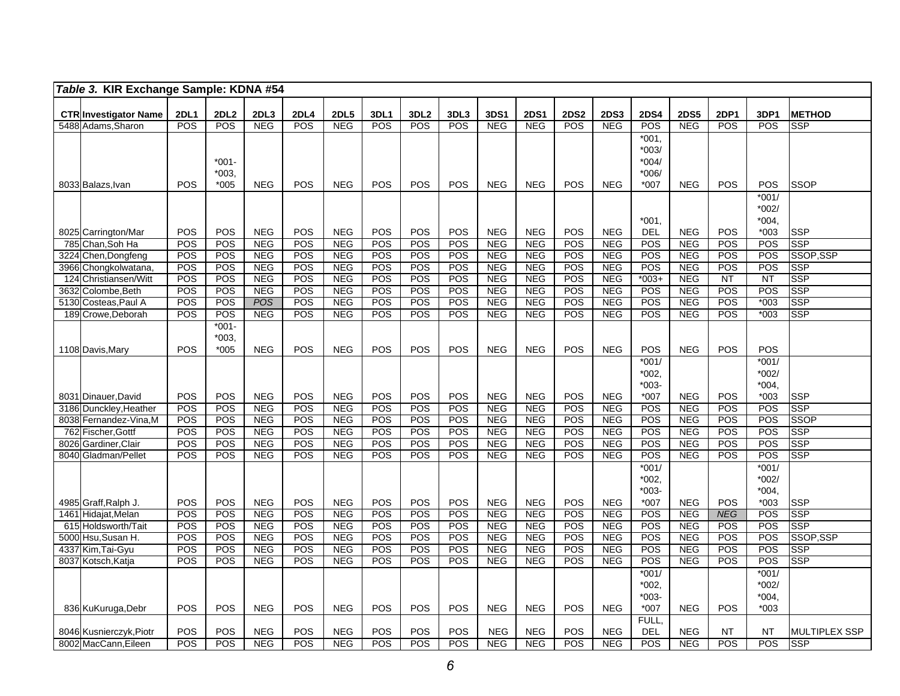|      | Table 3. KIR Exchange Sample: KDNA #54             |             |                  |                          |             |                          |             |                  |            |                          |                          |             |                          |                    |                          |                          |                   |                          |
|------|----------------------------------------------------|-------------|------------------|--------------------------|-------------|--------------------------|-------------|------------------|------------|--------------------------|--------------------------|-------------|--------------------------|--------------------|--------------------------|--------------------------|-------------------|--------------------------|
|      |                                                    | <b>2DL1</b> | 2DL <sub>2</sub> | 2DL3                     | <b>2DL4</b> | <b>2DL5</b>              | <b>3DL1</b> | 3DL <sub>2</sub> | 3DL3       | 3DS1                     | <b>2DS1</b>              | <b>2DS2</b> | <b>2DS3</b>              | <b>2DS4</b>        | <b>2DS5</b>              | <b>2DP1</b>              | 3DP1              | <b>METHOD</b>            |
|      | <b>CTR Investigator Name</b><br>5488 Adams, Sharon | POS         | POS              | <b>NEG</b>               | <b>POS</b>  | <b>NEG</b>               | <b>POS</b>  | POS              | POS        | NEG                      | <b>NEG</b>               | POS         | <b>NEG</b>               | POS                | <b>NEG</b>               | <b>POS</b>               | <b>POS</b>        | <b>SSP</b>               |
|      |                                                    |             |                  |                          |             |                          |             |                  |            |                          |                          |             |                          | $*001.$            |                          |                          |                   |                          |
|      |                                                    |             |                  |                          |             |                          |             |                  |            |                          |                          |             |                          | $*003/$            |                          |                          |                   |                          |
|      |                                                    |             | $*001-$          |                          |             |                          |             |                  |            |                          |                          |             |                          | $*004/$            |                          |                          |                   |                          |
|      |                                                    |             | $*003$           |                          |             |                          |             |                  |            |                          |                          |             |                          | $*006/$            |                          |                          |                   |                          |
|      | 8033 Balazs, Ivan                                  | POS         | $*005$           | <b>NEG</b>               | <b>POS</b>  | <b>NEG</b>               | <b>POS</b>  | POS              | POS        | <b>NEG</b>               | <b>NEG</b>               | POS         | <b>NEG</b>               | $*007$             | <b>NEG</b>               | POS                      | POS               | <b>SSOP</b>              |
|      |                                                    |             |                  |                          |             |                          |             |                  |            |                          |                          |             |                          |                    |                          |                          | $*001/$           |                          |
|      |                                                    |             |                  |                          |             |                          |             |                  |            |                          |                          |             |                          |                    |                          |                          | $*002/$           |                          |
|      |                                                    |             |                  |                          |             |                          |             |                  |            |                          |                          |             |                          | *001.              |                          |                          | $*004.$           |                          |
|      | 8025 Carrington/Mar                                | POS         | POS              | <b>NEG</b>               | POS         | <b>NEG</b>               | POS         | POS              | POS        | <b>NEG</b>               | <b>NEG</b>               | <b>POS</b>  | <b>NEG</b>               | DEL                | <b>NEG</b>               | POS                      | $*003$            | <b>SSP</b>               |
|      | 785 Chan.Soh Ha                                    | POS         | POS              | <b>NEG</b>               | POS         | <b>NEG</b>               | POS         | POS              | POS        | <b>NEG</b>               | <b>NEG</b>               | <b>POS</b>  | <b>NEG</b>               | POS                | NEG                      | POS                      | POS               | <b>SSP</b>               |
| 3224 | Chen, Dongfeng                                     | POS         | POS              | <b>NEG</b>               | POS         | NEG                      | POS         | POS              | POS        | NEG                      | <b>NEG</b>               | POS         | NEG                      | <b>POS</b>         | NEG                      | POS                      | POS               | SSOP,SSP                 |
| 3966 | Chongkolwatana                                     | POS         | POS              | <b>NEG</b>               | POS         | <b>NEG</b>               | POS         | POS              | POS        | <b>NEG</b>               | <b>NEG</b>               | POS         | <b>NEG</b>               | POS                | <b>NEG</b>               | POS                      | POS               | <b>SSP</b>               |
| 124  | Christiansen/Witt                                  | POS         | POS              | <b>NEG</b>               | POS         | <b>NEG</b>               | POS         | POS              | POS        | <b>NEG</b>               | <b>NEG</b>               | POS         | <b>NEG</b>               | $*003+$            | <b>NEG</b>               | $\overline{NT}$          | <b>NT</b>         | <b>SSP</b>               |
| 3632 | Colombe, Beth                                      | POS         | POS              | <b>NEG</b>               | POS         | NEG                      | POS         | POS              | POS        | <b>NEG</b>               | <b>NEG</b>               | POS         | <b>NEG</b>               | POS                | <b>NEG</b>               | <b>POS</b>               | POS               | <b>SSP</b>               |
|      | 5130 Costeas, Paul A                               | POS<br>POS  | POS<br>POS       | <b>POS</b><br><b>NEG</b> | POS<br>POS  | <b>NEG</b><br><b>NEG</b> | POS<br>POS  | POS<br>POS       | POS<br>POS | <b>NEG</b><br><b>NEG</b> | <b>NEG</b><br><b>NEG</b> | POS<br>POS  | <b>NEG</b><br><b>NEG</b> | <b>POS</b><br>POS  | <b>NEG</b><br><b>NEG</b> | <b>POS</b><br><b>POS</b> | $*003$<br>$*003$  | <b>SSP</b><br><b>SSP</b> |
|      | 189 Crowe, Deborah                                 |             | $*001-$          |                          |             |                          |             |                  |            |                          |                          |             |                          |                    |                          |                          |                   |                          |
|      |                                                    |             | $*003.$          |                          |             |                          |             |                  |            |                          |                          |             |                          |                    |                          |                          |                   |                          |
|      | 1108 Davis, Mary                                   | POS         | $*005$           | <b>NEG</b>               | <b>POS</b>  | <b>NEG</b>               | POS         | POS              | POS        | <b>NEG</b>               | <b>NEG</b>               | POS         | <b>NEG</b>               | POS                | <b>NEG</b>               | <b>POS</b>               | POS               |                          |
|      |                                                    |             |                  |                          |             |                          |             |                  |            |                          |                          |             |                          | $*001/$            |                          |                          | $*001/$           |                          |
|      |                                                    |             |                  |                          |             |                          |             |                  |            |                          |                          |             |                          | $*002,$            |                          |                          | $*002/$           |                          |
|      |                                                    |             |                  |                          |             |                          |             |                  |            |                          |                          |             |                          | $*003-$            |                          |                          | $*004,$           |                          |
|      | 8031 Dinauer David                                 | POS         | <b>POS</b>       | <b>NEG</b>               | POS         | <b>NEG</b>               | POS         | POS              | POS        | <b>NEG</b>               | <b>NEG</b>               | POS         | <b>NEG</b>               | $*007$             | <b>NEG</b>               | <b>POS</b>               | $*003$            | <b>SSP</b>               |
|      | 3186 Dunckley, Heather                             | POS         | POS              | <b>NEG</b>               | POS         | <b>NEG</b>               | POS         | POS              | POS        | <b>NEG</b>               | <b>NEG</b>               | POS         | <b>NEG</b>               | <b>POS</b>         | <b>NEG</b>               | POS                      | POS               | <b>SSP</b>               |
|      | 8038 Fernandez-Vina, M                             | POS         | POS              | <b>NEG</b>               | POS         | NEG                      | POS         | POS              | POS        | <b>NEG</b>               | <b>NEG</b>               | <b>POS</b>  | <b>NEG</b>               | POS                | <b>NEG</b>               | <b>POS</b>               | POS               | <b>SSOP</b>              |
|      | 762 Fischer, Gottf                                 | POS         | POS              | <b>NEG</b>               | POS         | <b>NEG</b>               | POS         | POS              | POS        | <b>NEG</b>               | <b>NEG</b>               | POS         | <b>NEG</b>               | POS                | <b>NEG</b>               | POS                      | POS               | <b>SSP</b>               |
| 8026 | Gardiner, Clair                                    | POS         | POS              | <b>NEG</b>               | POS         | <b>NEG</b>               | POS         | POS              | POS        | <b>NEG</b>               | <b>NEG</b>               | <b>POS</b>  | <b>NEG</b>               | POS                | <b>NEG</b>               | <b>POS</b>               | POS               | <b>SSP</b>               |
|      | 8040 Gladman/Pellet                                | POS         | POS              | <b>NEG</b>               | POS         | <b>NEG</b>               | POS         | <b>POS</b>       | POS        | <b>NEG</b>               | <b>NEG</b>               | POS         | <b>NEG</b>               | POS                | <b>NEG</b>               | POS                      | POS               | <b>SSP</b>               |
|      |                                                    |             |                  |                          |             |                          |             |                  |            |                          |                          |             |                          | $*001/$            |                          |                          | $*001/$           |                          |
|      |                                                    |             |                  |                          |             |                          |             |                  |            |                          |                          |             |                          | $*002.$            |                          |                          | $*002/$           |                          |
|      |                                                    |             |                  |                          |             |                          |             |                  |            |                          |                          |             |                          | $*003-$            |                          |                          | $*004.$           |                          |
|      | 4985 Graff, Ralph J.                               | POS         | POS              | <b>NEG</b>               | POS         | <b>NEG</b>               | POS         | POS              | POS        | <b>NEG</b>               | <b>NEG</b>               | POS         | <b>NEG</b>               | $*007$             | <b>NEG</b>               | <b>POS</b>               | $*003$            | <b>SSP</b>               |
|      | 1461 Hidajat, Melan                                | POS         | POS              | <b>NEG</b>               | <b>POS</b>  | <b>NEG</b>               | POS         | POS              | POS        | <b>NEG</b>               | <b>NEG</b>               | POS         | <b>NEG</b>               | POS                | <b>NEG</b>               | <b>NEG</b>               | POS               | <b>SSP</b>               |
|      | 615 Holdsworth/Tait                                | POS         | POS              | <b>NEG</b>               | <b>POS</b>  | <b>NEG</b>               | POS         | POS              | POS        | <b>NEG</b>               | <b>NEG</b>               | <b>POS</b>  | <b>NEG</b>               | <b>POS</b>         | <b>NEG</b>               | <b>POS</b>               | POS               | <b>SSP</b>               |
|      | 5000 Hsu, Susan H.                                 | POS         | POS              | <b>NEG</b>               | <b>POS</b>  | <b>NEG</b>               | POS         | POS              | POS        | <b>NEG</b>               | <b>NEG</b>               | <b>POS</b>  | <b>NEG</b>               | POS                | <b>NEG</b>               | POS                      | POS               | SSOP, SSP                |
|      | 4337 Kim, Tai-Gyu                                  | POS         | POS              | <b>NEG</b>               | <b>POS</b>  | <b>NEG</b>               | POS         | POS              | POS        | <b>NEG</b>               | <b>NEG</b>               | POS         | <b>NEG</b>               | POS                | <b>NEG</b>               | POS                      | POS               | <b>SSP</b>               |
|      | 8037 Kotsch, Katja                                 | POS         | POS              | <b>NEG</b>               | <b>POS</b>  | <b>NEG</b>               | <b>POS</b>  | <b>POS</b>       | POS        | <b>NEG</b>               | <b>NEG</b>               | POS         | <b>NEG</b>               | POS                | <b>NEG</b>               | <b>POS</b>               | POS               | SSP                      |
|      |                                                    |             |                  |                          |             |                          |             |                  |            |                          |                          |             |                          | $*001/$            |                          |                          | $*001/$           |                          |
|      |                                                    |             |                  |                          |             |                          |             |                  |            |                          |                          |             |                          | $*002,$<br>$*003-$ |                          |                          | $*002/$           |                          |
|      | 836 KuKuruga, Debr                                 | POS         | POS              | <b>NEG</b>               | POS         | <b>NEG</b>               | POS         | POS              | POS        | <b>NEG</b>               | <b>NEG</b>               | POS         | <b>NEG</b>               | $*007$             | <b>NEG</b>               | POS                      | $*004,$<br>$*003$ |                          |
|      |                                                    |             |                  |                          |             |                          |             |                  |            |                          |                          |             |                          | FULL,              |                          |                          |                   |                          |
|      | 8046 Kusnierczyk, Piotr                            | POS         | POS              | <b>NEG</b>               | POS         | <b>NEG</b>               | POS         | POS              | POS        | <b>NEG</b>               | <b>NEG</b>               | POS         | <b>NEG</b>               | <b>DEL</b>         | <b>NEG</b>               | <b>NT</b>                | <b>NT</b>         | <b>MULTIPLEX SSP</b>     |
|      | 8002 MacCann, Eileen                               | POS         | POS              | <b>NEG</b>               | POS         | <b>NEG</b>               | POS         | POS              | POS        | <b>NEG</b>               | <b>NEG</b>               | POS         | <b>NEG</b>               | POS                | <b>NEG</b>               | POS                      | POS               | <b>SSP</b>               |
|      |                                                    |             |                  |                          |             |                          |             |                  |            |                          |                          |             |                          |                    |                          |                          |                   |                          |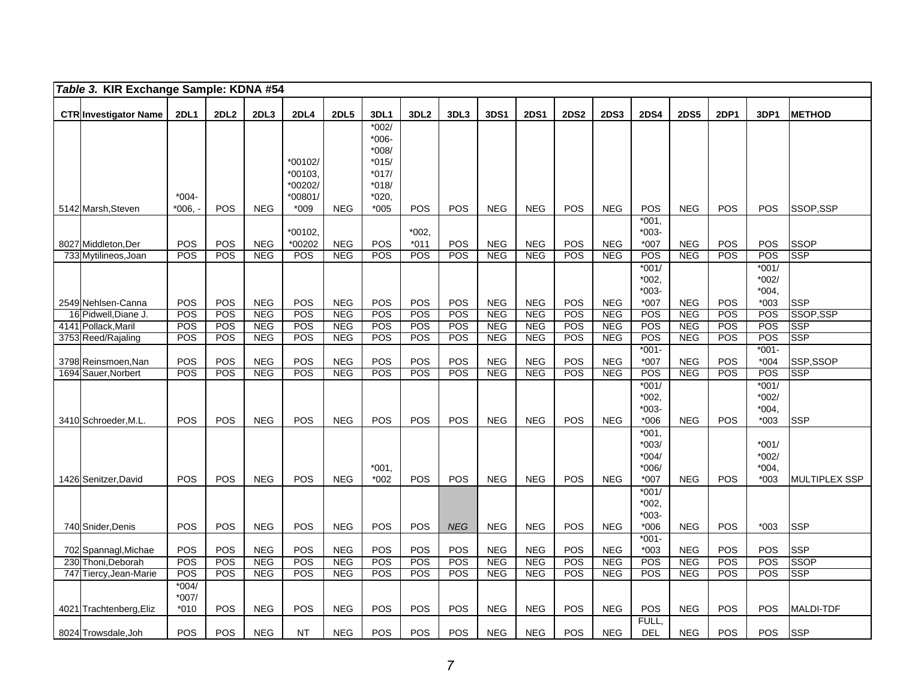|     | Table 3. KIR Exchange Sample: KDNA #54      |                            |             |                          |                                                   |                          |                                                                                 |                  |            |                          |                          |             |                          |                                                |                          |            |                                       |                         |
|-----|---------------------------------------------|----------------------------|-------------|--------------------------|---------------------------------------------------|--------------------------|---------------------------------------------------------------------------------|------------------|------------|--------------------------|--------------------------|-------------|--------------------------|------------------------------------------------|--------------------------|------------|---------------------------------------|-------------------------|
|     | <b>CTR Investigator Name</b>                | <b>2DL1</b>                | <b>2DL2</b> | 2DL <sub>3</sub>         | <b>2DL4</b>                                       | <b>2DL5</b>              | 3DL1                                                                            | 3DL <sub>2</sub> | 3DL3       | <b>3DS1</b>              | <b>2DS1</b>              | <b>2DS2</b> | <b>2DS3</b>              | <b>2DS4</b>                                    | <b>2DS5</b>              | 2DP1       | 3DP1                                  | <b>METHOD</b>           |
|     | 5142 Marsh, Steven                          | $*004-$<br>*006.           | <b>POS</b>  | <b>NEG</b>               | *00102/<br>*00103<br>*00202/<br>*00801/<br>$*009$ | <b>NEG</b>               | $*002/$<br>$*006-$<br>*008/<br>$*015/$<br>$*017/$<br>$*018/$<br>*020.<br>$*005$ | <b>POS</b>       | <b>POS</b> | <b>NEG</b>               | <b>NEG</b>               | POS         | <b>NEG</b>               | POS                                            | <b>NEG</b>               | POS        | <b>POS</b>                            | SSOP.SSP                |
|     | 8027 Middleton, Der                         | <b>POS</b>                 | POS         | <b>NEG</b>               | *00102<br>*00202                                  | <b>NEG</b>               | POS                                                                             | *002,<br>$*011$  | <b>POS</b> | <b>NEG</b>               | <b>NEG</b>               | POS         | <b>NEG</b>               | $*001.$<br>$*003-$<br>$*007$                   | <b>NEG</b>               | POS        | POS                                   | <b>SSOP</b>             |
|     | 733 Mytilineos, Joan                        | POS                        | POS         | <b>NEG</b>               | POS                                               | <b>NEG</b>               | POS                                                                             | POS              | POS        | <b>NEG</b>               | <b>NEG</b>               | POS         | <b>NEG</b>               | POS                                            | <b>NEG</b>               | POS        | POS                                   | <b>SSP</b>              |
|     |                                             |                            |             |                          |                                                   |                          |                                                                                 |                  |            |                          |                          |             |                          | $*001/$<br>*002,<br>$*003-$                    |                          |            | $*001/$<br>*002/<br>$*004,$           |                         |
|     | 2549 Nehlsen-Canna                          | POS                        | POS<br>POS  | <b>NEG</b>               | <b>POS</b>                                        | <b>NEG</b><br><b>NEG</b> | POS<br>POS                                                                      | POS<br>POS       | POS<br>POS | <b>NEG</b><br><b>NEG</b> | <b>NEG</b><br><b>NEG</b> | POS<br>POS  | <b>NEG</b>               | *007<br>POS                                    | <b>NEG</b>               | POS<br>POS | $*003$<br>POS                         | <b>SSP</b><br>SSOP, SSP |
|     | 16 Pidwell, Diane J.<br>4141 Pollack, Maril | POS<br><b>POS</b>          | POS         | <b>NEG</b><br><b>NEG</b> | POS<br><b>POS</b>                                 | <b>NEG</b>               | <b>POS</b>                                                                      | POS              | <b>POS</b> | <b>NEG</b>               | <b>NEG</b>               | POS         | <b>NEG</b><br><b>NEG</b> | POS                                            | <b>NEG</b><br><b>NEG</b> | POS        | POS                                   | <b>SSP</b>              |
|     | 3753 Reed/Rajaling                          | POS                        | POS         | <b>NEG</b>               | POS                                               | <b>NEG</b>               | POS                                                                             | POS              | POS        | <b>NEG</b>               | <b>NEG</b>               | POS         | <b>NEG</b>               | POS                                            | <b>NEG</b>               | POS        | POS                                   | <b>SSP</b>              |
|     | 3798 Reinsmoen, Nan                         | POS                        | POS         | <b>NEG</b>               | POS                                               | <b>NEG</b>               | POS                                                                             | POS              | POS        | <b>NEG</b>               | <b>NEG</b>               | POS         | <b>NEG</b>               | $*001-$<br>$*007$                              | <b>NEG</b>               | POS        | $*001-$<br>$*004$                     | SSP,SSOP                |
|     | 1694 Sauer, Norbert                         | POS                        | POS         | <b>NEG</b>               | POS                                               | NEG                      | POS                                                                             | POS              | POS        | NEG                      | <b>NEG</b>               | POS         | <b>NEG</b>               | POS                                            | <b>NEG</b>               | POS        | POS                                   | <b>SSP</b>              |
|     | 3410 Schroeder, M.L.                        | POS                        | POS         | <b>NEG</b>               | POS                                               | <b>NEG</b>               | <b>POS</b>                                                                      | POS              | <b>POS</b> | <b>NEG</b>               | <b>NEG</b>               | POS         | <b>NEG</b>               | $*001/$<br>*002.<br>*003-<br>$*006$            | <b>NEG</b>               | <b>POS</b> | $*001/$<br>$*002/$<br>*004.<br>$*003$ | <b>SSP</b>              |
|     | 1426 Senitzer, David                        | <b>POS</b>                 | <b>POS</b>  | <b>NEG</b>               | POS                                               | <b>NEG</b>               | $*001.$<br>$*002$                                                               | <b>POS</b>       | <b>POS</b> | <b>NEG</b>               | <b>NEG</b>               | POS         | <b>NEG</b>               | *001,<br>$*003/$<br>$*004/$<br>*006/<br>$*007$ | <b>NEG</b>               | POS        | $*001/$<br>*002/<br>*004.<br>*003     | MULTIPLEX SSP           |
|     | 740 Snider, Denis                           | <b>POS</b>                 | <b>POS</b>  | <b>NEG</b>               | POS                                               | <b>NEG</b>               | POS                                                                             | POS              | <b>NEG</b> | <b>NEG</b>               | <b>NEG</b>               | POS         | <b>NEG</b>               | $*001/$<br>*002.<br>$*003-$<br>$*006$          | <b>NEG</b>               | <b>POS</b> | $*003$                                | <b>SSP</b>              |
|     | 702 Spannagl, Michae                        | POS                        | POS         | <b>NEG</b>               | POS                                               | <b>NEG</b>               | POS                                                                             | POS              | POS        | <b>NEG</b>               | <b>NEG</b>               | POS         | <b>NEG</b>               | $*001-$<br>$*003$                              | <b>NEG</b>               | POS        | POS                                   | <b>SSP</b>              |
| 230 | Thoni, Deborah                              | POS                        | POS         | <b>NEG</b>               | POS                                               | <b>NEG</b>               | POS                                                                             | POS              | POS        | <b>NEG</b>               | <b>NEG</b>               | POS         | <b>NEG</b>               | POS                                            | <b>NEG</b>               | POS        | POS                                   | <b>SSOP</b>             |
|     | 747 Tiercy, Jean-Marie                      | POS                        | POS         | <b>NEG</b>               | POS                                               | <b>NEG</b>               | POS                                                                             | <b>POS</b>       | <b>POS</b> | <b>NEG</b>               | <b>NEG</b>               | POS         | <b>NEG</b>               | POS                                            | <b>NEG</b>               | POS        | POS                                   | <b>SSP</b>              |
|     | 4021 Trachtenberg, Eliz                     | $*004/$<br>$*007/$<br>*010 | POS         | <b>NEG</b>               | POS                                               | <b>NEG</b>               | POS                                                                             | <b>POS</b>       | <b>POS</b> | <b>NEG</b>               | <b>NEG</b>               | POS         | <b>NEG</b>               | POS                                            | <b>NEG</b>               | POS        | <b>POS</b>                            | <b>MALDI-TDF</b>        |
|     | 8024 Trowsdale, Joh                         | POS                        | POS         | <b>NEG</b>               | NT                                                | <b>NEG</b>               | POS                                                                             | <b>POS</b>       | POS        | <b>NEG</b>               | <b>NEG</b>               | POS         | <b>NEG</b>               | FULL.<br><b>DEL</b>                            | <b>NEG</b>               | POS        | POS                                   | <b>SSP</b>              |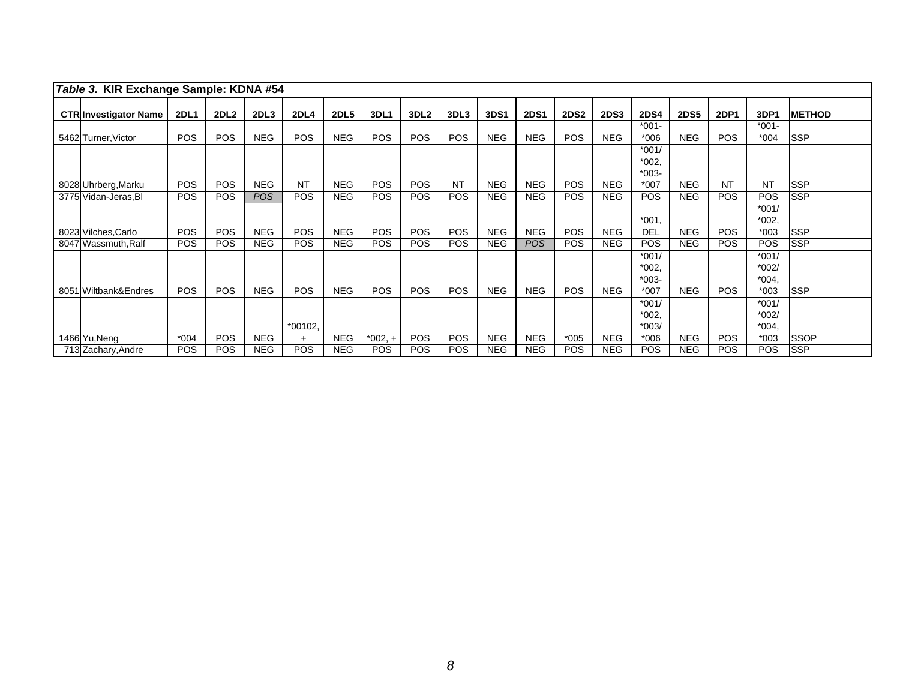| Table 3. KIR Exchange Sample: KDNA #54 |             |             |            |             |             |             |                  |            |            |             |             |             |                               |             |             |                               |                |
|----------------------------------------|-------------|-------------|------------|-------------|-------------|-------------|------------------|------------|------------|-------------|-------------|-------------|-------------------------------|-------------|-------------|-------------------------------|----------------|
| <b>CTR Investigator Name</b>           | <b>2DL1</b> | <b>2DL2</b> | 2DL3       | <b>2DL4</b> | <b>2DL5</b> | <b>3DL1</b> | 3DL <sub>2</sub> | 3DL3       | 3DS1       | <b>2DS1</b> | <b>2DS2</b> | <b>2DS3</b> | <b>2DS4</b>                   | <b>2DS5</b> | <b>2DP1</b> | 3DP1                          | <b>IMETHOD</b> |
| 5462 Turner, Victor                    | <b>POS</b>  | <b>POS</b>  | <b>NEG</b> | <b>POS</b>  | <b>NEG</b>  | <b>POS</b>  | <b>POS</b>       | <b>POS</b> | <b>NEG</b> | <b>NEG</b>  | <b>POS</b>  | <b>NEG</b>  | $*001 -$<br>$*006$            | <b>NEG</b>  | <b>POS</b>  | $*001 -$<br>$*004$            | <b>ISSP</b>    |
|                                        |             |             |            |             |             |             |                  |            |            |             |             |             | $*001/$                       |             |             |                               |                |
|                                        |             |             |            |             |             |             |                  |            |            |             |             |             | $*002,$<br>$*003-$            |             |             |                               |                |
| 8028 Uhrberg, Marku                    | <b>POS</b>  | <b>POS</b>  | <b>NEG</b> | <b>NT</b>   | <b>NEG</b>  | <b>POS</b>  | <b>POS</b>       | <b>NT</b>  | <b>NEG</b> | <b>NEG</b>  | <b>POS</b>  | <b>NEG</b>  | $*007$                        | <b>NEG</b>  | <b>NT</b>   | <b>NT</b>                     | <b>SSP</b>     |
| 3775 Vidan-Jeras, BI                   | POS         | POS         | <b>POS</b> | <b>POS</b>  | <b>NEG</b>  | POS         | <b>POS</b>       | <b>POS</b> | <b>NEG</b> | <b>NEG</b>  | <b>POS</b>  | <b>NEG</b>  | <b>POS</b>                    | <b>NEG</b>  | <b>POS</b>  | <b>POS</b>                    | <b>SSP</b>     |
|                                        |             |             |            |             |             |             |                  |            |            |             |             |             | $*001$ ,                      |             |             | $*001/$<br>$*002,$            |                |
| 8023 Vilches, Carlo                    | <b>POS</b>  | <b>POS</b>  | <b>NEG</b> | <b>POS</b>  | <b>NEG</b>  | <b>POS</b>  | <b>POS</b>       | <b>POS</b> | <b>NEG</b> | <b>NEG</b>  | <b>POS</b>  | <b>NEG</b>  | DEL                           | <b>NEG</b>  | <b>POS</b>  | $*003$                        | <b>ISSP</b>    |
| 8047 Wassmuth, Ralf                    | POS         | <b>POS</b>  | <b>NEG</b> | <b>POS</b>  | <b>NEG</b>  | <b>POS</b>  | <b>POS</b>       | <b>POS</b> | <b>NEG</b> | <b>POS</b>  | <b>POS</b>  | <b>NEG</b>  | <b>POS</b>                    | <b>NEG</b>  | <b>POS</b>  | <b>POS</b>                    | <b>SSP</b>     |
|                                        |             |             |            |             |             |             |                  |            |            |             |             |             | $*001/$<br>$*002,$<br>$*003-$ |             |             | $*001/$<br>$*002/$<br>$*004.$ |                |
| 8051 Wiltbank&Endres                   | <b>POS</b>  | <b>POS</b>  | <b>NEG</b> | <b>POS</b>  | <b>NEG</b>  | <b>POS</b>  | <b>POS</b>       | <b>POS</b> | <b>NEG</b> | <b>NEG</b>  | <b>POS</b>  | <b>NEG</b>  | $*007$                        | <b>NEG</b>  | <b>POS</b>  | $*003$                        | <b>SSP</b>     |
|                                        |             |             |            | *00102,     |             |             |                  |            |            |             |             |             | $*001/$<br>$*002,$<br>$*003/$ |             |             | $*001/$<br>$*002/$<br>$*004.$ |                |
| 1466 Yu, Neng                          | $*004$      | <b>POS</b>  | <b>NEG</b> | $+$         | <b>NEG</b>  | $*002.+$    | POS.             | <b>POS</b> | <b>NEG</b> | <b>NEG</b>  | $*005$      | <b>NEG</b>  | $*006$                        | <b>NEG</b>  | <b>POS</b>  | $*003$                        | <b>SSOP</b>    |
| 713 Zachary, Andre                     | POS         | POS         | <b>NEG</b> | <b>POS</b>  | <b>NEG</b>  | <b>POS</b>  | <b>POS</b>       | <b>POS</b> | <b>NEG</b> | <b>NEG</b>  | <b>POS</b>  | <b>NEG</b>  | <b>POS</b>                    | <b>NEG</b>  | <b>POS</b>  | <b>POS</b>                    | <b>SSP</b>     |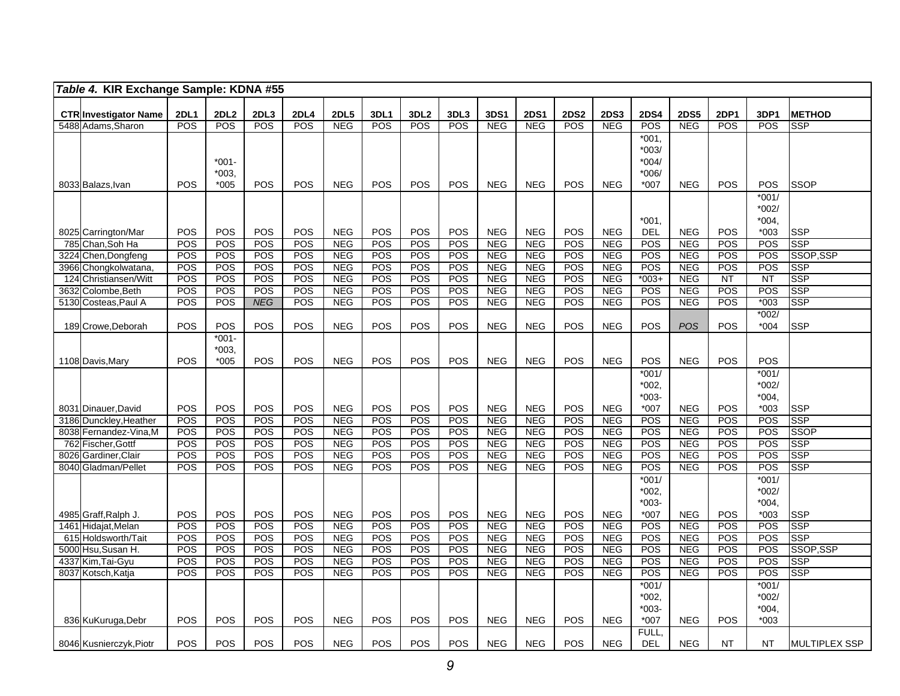|      | Table 4. KIR Exchange Sample: KDNA #55             |             |                  |            |             |                          |             |                  |            |                          |                          |             |                          |                    |                          |                  |                    |                          |
|------|----------------------------------------------------|-------------|------------------|------------|-------------|--------------------------|-------------|------------------|------------|--------------------------|--------------------------|-------------|--------------------------|--------------------|--------------------------|------------------|--------------------|--------------------------|
|      |                                                    | <b>2DL1</b> | 2DL <sub>2</sub> | 2DL3       | <b>2DL4</b> | <b>2DL5</b>              | <b>3DL1</b> | 3DL <sub>2</sub> | 3DL3       | 3DS1                     | <b>2DS1</b>              | <b>2DS2</b> | <b>2DS3</b>              | <b>2DS4</b>        | <b>2DS5</b>              | <b>2DP1</b>      | 3DP1               | <b>METHOD</b>            |
|      | <b>CTR Investigator Name</b><br>5488 Adams, Sharon | POS         | POS              | POS        | <b>POS</b>  | <b>NEG</b>               | <b>POS</b>  | POS              | POS        | NEG                      | <b>NEG</b>               | <b>POS</b>  | <b>NEG</b>               | POS                | <b>NEG</b>               | POS              | POS                | <b>SSP</b>               |
|      |                                                    |             |                  |            |             |                          |             |                  |            |                          |                          |             |                          | $*001.$            |                          |                  |                    |                          |
|      |                                                    |             |                  |            |             |                          |             |                  |            |                          |                          |             |                          | $*003/$            |                          |                  |                    |                          |
|      |                                                    |             | $*001-$          |            |             |                          |             |                  |            |                          |                          |             |                          | $*004/$            |                          |                  |                    |                          |
|      |                                                    |             | $*003.$          |            |             |                          |             |                  |            |                          |                          |             |                          | $*006/$            |                          |                  |                    |                          |
|      | 8033 Balazs, Ivan                                  | POS         | $*005$           | POS        | POS         | <b>NEG</b>               | POS         | POS              | POS        | <b>NEG</b>               | <b>NEG</b>               | POS         | <b>NEG</b>               | $*007$             | <b>NEG</b>               | POS              | POS                | <b>SSOP</b>              |
|      |                                                    |             |                  |            |             |                          |             |                  |            |                          |                          |             |                          |                    |                          |                  | $*001/$            |                          |
|      |                                                    |             |                  |            |             |                          |             |                  |            |                          |                          |             |                          |                    |                          |                  | $*002/$            |                          |
|      |                                                    |             |                  |            |             |                          |             |                  |            |                          |                          |             |                          | $*001.$            |                          |                  | $*004,$            |                          |
|      | 8025 Carrington/Mar                                | POS         | POS              | POS        | <b>POS</b>  | <b>NEG</b>               | <b>POS</b>  | POS              | <b>POS</b> | <b>NEG</b>               | <b>NEG</b>               | POS         | <b>NEG</b>               | <b>DEL</b>         | <b>NEG</b>               | POS              | *003               | <b>SSP</b>               |
|      | 785 Chan, Soh Ha                                   | POS         | POS              | POS        | <b>POS</b>  | <b>NEG</b>               | POS         | POS              | POS        | <b>NEG</b>               | <b>NEG</b>               | POS         | <b>NEG</b>               | POS                | <b>NEG</b>               | <b>POS</b>       | POS                | <b>SSP</b>               |
| 3224 | Chen, Dongfeng                                     | POS         | POS              | POS        | <b>POS</b>  | <b>NEG</b>               | POS         | POS              | POS        | <b>NEG</b>               | <b>NEG</b>               | <b>POS</b>  | <b>NEG</b>               | POS                | <b>NEG</b>               | POS              | POS                | SSOP.SSP                 |
| 3966 | Chongkolwatana                                     | POS         | POS              | POS        | POS         | <b>NEG</b>               | POS         | POS              | POS        | <b>NEG</b>               | <b>NEG</b>               | POS         | <b>NEG</b>               | POS                | <b>NEG</b>               | POS              | POS                | <b>SSP</b>               |
| 124  | Christiansen/Witt                                  | POS<br>POS  | POS<br>POS       | POS<br>POS | POS<br>POS  | <b>NEG</b><br><b>NEG</b> | POS<br>POS  | POS<br>POS       | POS<br>POS | <b>NEG</b><br><b>NEG</b> | <b>NEG</b><br><b>NEG</b> | POS<br>POS  | <b>NEG</b><br><b>NEG</b> | $*003+$<br>POS     | <b>NEG</b><br><b>NEG</b> | <b>NT</b><br>POS | <b>NT</b><br>POS   | <b>SSP</b><br><b>SSP</b> |
| 3632 | Colombe, Beth<br>5130 Costeas, Paul A              | POS         | POS              | <b>NEG</b> | <b>POS</b>  | <b>NEG</b>               | POS         | POS              | POS        | <b>NEG</b>               | <b>NEG</b>               | POS         | <b>NEG</b>               | <b>POS</b>         | <b>NEG</b>               | <b>POS</b>       | $*003$             | <b>SSP</b>               |
|      |                                                    |             |                  |            |             |                          |             |                  |            |                          |                          |             |                          |                    |                          |                  | $*002/$            |                          |
|      | 189 Crowe, Deborah                                 | POS         | POS              | POS        | <b>POS</b>  | <b>NEG</b>               | POS         | POS              | POS        | <b>NEG</b>               | <b>NEG</b>               | POS         | <b>NEG</b>               | <b>POS</b>         | <b>POS</b>               | <b>POS</b>       | *004               | <b>SSP</b>               |
|      |                                                    |             | $*001-$          |            |             |                          |             |                  |            |                          |                          |             |                          |                    |                          |                  |                    |                          |
|      |                                                    |             | $*003,$          |            |             |                          |             |                  |            |                          |                          |             |                          |                    |                          |                  |                    |                          |
|      | 1108 Davis, Mary                                   | POS         | $*005$           | POS        | POS         | <b>NEG</b>               | POS         | POS              | POS        | <b>NEG</b>               | <b>NEG</b>               | POS         | <b>NEG</b>               | POS                | <b>NEG</b>               | POS              | POS                |                          |
|      |                                                    |             |                  |            |             |                          |             |                  |            |                          |                          |             |                          | $*001/$            |                          |                  | $*001/$            |                          |
|      |                                                    |             |                  |            |             |                          |             |                  |            |                          |                          |             |                          | $*002,$            |                          |                  | $*002/$            |                          |
|      |                                                    |             |                  |            |             |                          |             |                  |            |                          |                          |             |                          | $*003-$            |                          |                  | $*004,$            |                          |
|      | 8031 Dinauer David                                 | POS         | POS              | POS        | POS         | <b>NEG</b>               | POS         | POS              | POS        | <b>NEG</b>               | <b>NEG</b>               | <b>POS</b>  | <b>NEG</b>               | $*007$             | <b>NEG</b>               | POS              | $*003$             | <b>SSP</b>               |
|      | 3186 Dunckley, Heather                             | POS         | POS              | POS        | POS         | NEG                      | POS         | POS              | POS        | NEG                      | <b>NEG</b>               | POS         | <b>NEG</b>               | POS                | <b>NEG</b>               | POS              | POS                | <b>SSP</b>               |
|      | 8038 Fernandez-Vina, M                             | POS         | POS              | POS        | POS         | <b>NEG</b>               | POS         | POS              | POS        | <b>NEG</b>               | <b>NEG</b>               | POS         | <b>NEG</b>               | POS                | <b>NEG</b>               | POS              | POS                | <b>SSOP</b>              |
| 762  | Fischer, Gottf                                     | POS         | POS              | POS        | POS         | NEG                      | POS         | POS              | POS        | <b>NEG</b>               | <b>NEG</b>               | <b>POS</b>  | <b>NEG</b>               | POS                | <b>NEG</b>               | <b>POS</b>       | POS                | <b>SSP</b>               |
|      | 8026 Gardiner, Clair                               | POS         | POS              | POS        | POS         | <b>NEG</b>               | POS         | POS              | POS        | <b>NEG</b>               | <b>NEG</b>               | POS         | <b>NEG</b>               | <b>POS</b><br>POS  | <b>NEG</b>               | <b>POS</b>       | POS                | <b>SSP</b><br><b>SSP</b> |
|      | 8040 Gladman/Pellet                                | POS         | POS              | POS        | POS         | <b>NEG</b>               | POS         | POS              | POS        | <b>NEG</b>               | <b>NEG</b>               | <b>POS</b>  | <b>NEG</b>               |                    | <b>NEG</b>               | POS              | POS                |                          |
|      |                                                    |             |                  |            |             |                          |             |                  |            |                          |                          |             |                          | $*001/$            |                          |                  | $*001/$<br>$*002/$ |                          |
|      |                                                    |             |                  |            |             |                          |             |                  |            |                          |                          |             |                          | $*002,$<br>$*003-$ |                          |                  | $*004.$            |                          |
|      | 4985 Graff, Ralph J.                               | POS         | POS              | POS        | POS         | <b>NEG</b>               | POS         | POS              | POS        | <b>NEG</b>               | <b>NEG</b>               | POS         | <b>NEG</b>               | *007               | <b>NEG</b>               | POS              | $*003$             | <b>SSP</b>               |
|      | 1461 Hidajat, Melan                                | POS         | POS              | POS        | POS         | <b>NEG</b>               | POS         | POS              | POS        | <b>NEG</b>               | <b>NEG</b>               | <b>POS</b>  | <b>NEG</b>               | <b>POS</b>         | <b>NEG</b>               | POS              | POS                | <b>SSP</b>               |
|      | 615 Holdsworth/Tait                                | POS         | POS              | POS        | <b>POS</b>  | <b>NEG</b>               | POS         | POS              | POS        | <b>NEG</b>               | <b>NEG</b>               | POS         | <b>NEG</b>               | POS                | <b>NEG</b>               | POS              | POS                | <b>SSP</b>               |
|      | 5000 Hsu, Susan H.                                 | POS         | POS              | POS        | <b>POS</b>  | <b>NEG</b>               | POS         | POS              | POS        | <b>NEG</b>               | <b>NEG</b>               | <b>POS</b>  | <b>NEG</b>               | <b>POS</b>         | <b>NEG</b>               | POS              | POS                | SSOP,SSP                 |
|      | 4337 Kim, Tai-Gyu                                  | POS         | POS              | POS        | POS         | NEG                      | POS         | POS              | POS        | <b>NEG</b>               | <b>NEG</b>               | POS         | <b>NEG</b>               | <b>POS</b>         | <b>NEG</b>               | POS              | POS                | <b>SSP</b>               |
|      | 8037 Kotsch, Katja                                 | POS         | POS              | POS        | POS         | <b>NEG</b>               | POS         | POS              | POS        | <b>NEG</b>               | <b>NEG</b>               | POS         | <b>NEG</b>               | POS                | <b>NEG</b>               | POS              | POS                | <b>SSP</b>               |
|      |                                                    |             |                  |            |             |                          |             |                  |            |                          |                          |             |                          | $*001/$            |                          |                  | $*001/$            |                          |
|      |                                                    |             |                  |            |             |                          |             |                  |            |                          |                          |             |                          | $*002,$            |                          |                  | $*002/$            |                          |
|      |                                                    |             |                  |            |             |                          |             |                  |            |                          |                          |             |                          | $*003-$            |                          |                  | $*004.$            |                          |
|      | 836 KuKuruga, Debr                                 | POS         | POS              | POS        | <b>POS</b>  | <b>NEG</b>               | <b>POS</b>  | POS              | POS        | <b>NEG</b>               | <b>NEG</b>               | POS         | <b>NEG</b>               | *007               | <b>NEG</b>               | POS              | *003               |                          |
|      |                                                    |             |                  |            |             |                          |             |                  |            |                          |                          |             |                          | FULL.              |                          |                  |                    |                          |
|      | 8046 Kusnierczyk, Piotr                            | POS         | POS              | POS        | <b>POS</b>  | <b>NEG</b>               | POS         | POS              | POS        | <b>NEG</b>               | <b>NEG</b>               | POS         | <b>NEG</b>               | <b>DEL</b>         | <b>NEG</b>               | <b>NT</b>        | NT                 | <b>MULTIPLEX SSP</b>     |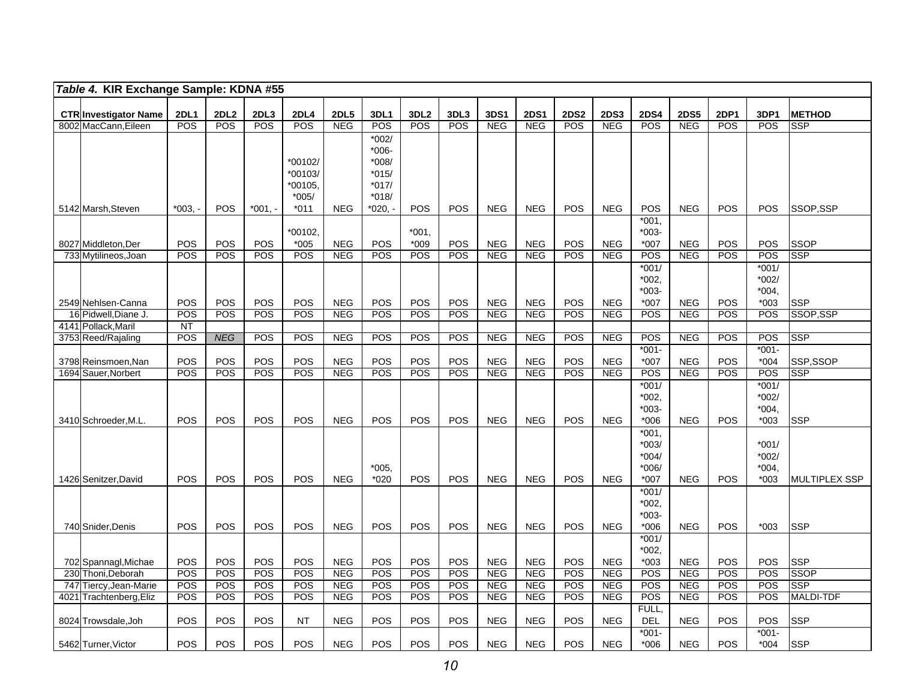|      | Table 4. KIR Exchange Sample: KDNA #55               |                               |                    |             |                    |                    |             |                                |                    |                    |                           |                    |                           |                    |                           |                    |                   |                             |
|------|------------------------------------------------------|-------------------------------|--------------------|-------------|--------------------|--------------------|-------------|--------------------------------|--------------------|--------------------|---------------------------|--------------------|---------------------------|--------------------|---------------------------|--------------------|-------------------|-----------------------------|
|      |                                                      |                               |                    |             |                    |                    |             |                                |                    |                    |                           |                    |                           |                    |                           |                    |                   |                             |
|      | <b>CTR Investigator Name</b><br>8002 MacCann, Eileen | <b>2DL1</b><br>POS            | <b>2DL2</b><br>POS | 2DL3<br>POS | <b>2DL4</b><br>POS | <b>2DL5</b><br>NEG | 3DL1<br>POS | 3DL <sub>2</sub><br><b>POS</b> | 3DL3<br><b>POS</b> | 3DS1<br><b>NEG</b> | <b>2DS1</b><br><b>NEG</b> | <b>2DS2</b><br>POS | <b>2DS3</b><br><b>NEG</b> | <b>2DS4</b><br>POS | <b>2DS5</b><br><b>NEG</b> | 2DP1<br><b>POS</b> | 3DP1<br>POS       | <b>METHOD</b><br><b>SSP</b> |
|      |                                                      |                               |                    |             |                    |                    | $*002/$     |                                |                    |                    |                           |                    |                           |                    |                           |                    |                   |                             |
|      |                                                      |                               |                    |             |                    |                    | $*006-$     |                                |                    |                    |                           |                    |                           |                    |                           |                    |                   |                             |
|      |                                                      |                               |                    |             | *00102/            |                    | $*008/$     |                                |                    |                    |                           |                    |                           |                    |                           |                    |                   |                             |
|      |                                                      |                               |                    |             | *00103/            |                    | $*015/$     |                                |                    |                    |                           |                    |                           |                    |                           |                    |                   |                             |
|      |                                                      |                               |                    |             | *00105.            |                    | $*017/$     |                                |                    |                    |                           |                    |                           |                    |                           |                    |                   |                             |
|      |                                                      |                               |                    |             | $*005/$            |                    | $*018/$     |                                |                    |                    |                           |                    |                           |                    |                           |                    |                   |                             |
|      | 5142 Marsh, Steven                                   | $*003.$                       | POS                | *001, -     | $*011$             | <b>NEG</b>         | *020.       | <b>POS</b>                     | POS                | <b>NEG</b>         | <b>NEG</b>                | POS                | <b>NEG</b>                | POS<br>$*001.$     | <b>NEG</b>                | POS                | POS               | SSOP,SSP                    |
|      |                                                      |                               |                    |             | *00102.            |                    |             | *001,                          |                    |                    |                           |                    |                           | *003-              |                           |                    |                   |                             |
|      | 8027 Middleton, Der                                  | <b>POS</b>                    | <b>POS</b>         | <b>POS</b>  | $*005$             | <b>NEG</b>         | POS         | $*009$                         | <b>POS</b>         | <b>NEG</b>         | <b>NEG</b>                | POS                | <b>NEG</b>                | $*007$             | <b>NEG</b>                | <b>POS</b>         | POS               | SSOP                        |
|      | 733 Mytilineos, Joan                                 | POS                           | POS                | POS         | POS                | <b>NEG</b>         | POS         | POS                            | <b>POS</b>         | <b>NEG</b>         | <b>NEG</b>                | POS                | <b>NEG</b>                | POS                | <b>NEG</b>                | POS                | POS               | <b>SSP</b>                  |
|      |                                                      |                               |                    |             |                    |                    |             |                                |                    |                    |                           |                    |                           | $*001/$            |                           |                    | $*001/$           |                             |
|      |                                                      |                               |                    |             |                    |                    |             |                                |                    |                    |                           |                    |                           | $*002.$            |                           |                    | $*002/$           |                             |
|      |                                                      |                               |                    |             |                    |                    |             |                                |                    |                    |                           |                    |                           | *003-              |                           |                    | *004.             |                             |
|      | 2549 Nehlsen-Canna                                   | POS                           | POS                | POS         | <b>POS</b>         | <b>NEG</b>         | POS         | POS                            | POS                | <b>NEG</b>         | <b>NEG</b>                | POS                | <b>NEG</b>                | *007               | <b>NEG</b>                | POS                | $*003$            | <b>SSP</b>                  |
|      | 16 Pidwell, Diane J.<br>4141 Pollack, Maril          | POS<br>$\overline{\text{NT}}$ | POS                | POS         | POS                | <b>NEG</b>         | POS         | POS                            | <b>POS</b>         | <b>NEG</b>         | <b>NEG</b>                | POS                | <b>NEG</b>                | POS                | <b>NEG</b>                | POS                | POS               | SSOP.SSP                    |
|      | 3753 Reed/Rajaling                                   | POS                           | <b>NEG</b>         | POS         | POS                | <b>NEG</b>         | POS         | POS                            | POS                | <b>NEG</b>         | <b>NEG</b>                | POS                | <b>NEG</b>                | POS                | <b>NEG</b>                | POS                | POS               | <b>SSP</b>                  |
|      |                                                      |                               |                    |             |                    |                    |             |                                |                    |                    |                           |                    |                           | $*001 -$           |                           |                    | $*001 -$          |                             |
|      | 3798 Reinsmoen, Nan                                  | POS                           | POS                | POS         | POS                | <b>NEG</b>         | POS         | POS                            | POS                | <b>NEG</b>         | <b>NEG</b>                | POS                | <b>NEG</b>                | *007               | <b>NEG</b>                | POS                | $*004$            | SSP,SSOP                    |
| 1694 | Sauer, Norbert                                       | POS                           | POS                | POS         | POS                | <b>NEG</b>         | POS         | POS                            | POS                | <b>NEG</b>         | <b>NEG</b>                | POS                | <b>NEG</b>                | POS                | <b>NEG</b>                | POS                | POS               | <b>SSP</b>                  |
|      |                                                      |                               |                    |             |                    |                    |             |                                |                    |                    |                           |                    |                           | $*001/$            |                           |                    | $*001/$           |                             |
|      |                                                      |                               |                    |             |                    |                    |             |                                |                    |                    |                           |                    |                           | *002,              |                           |                    | $*002/$           |                             |
|      | 3410 Schroeder, M.L                                  | POS                           | POS                | POS         | POS                | <b>NEG</b>         | POS         | POS                            | POS                | <b>NEG</b>         | <b>NEG</b>                | POS                | <b>NEG</b>                | $*003-$<br>$*006$  | <b>NEG</b>                | POS                | *004.<br>$*003$   | <b>SSP</b>                  |
|      |                                                      |                               |                    |             |                    |                    |             |                                |                    |                    |                           |                    |                           | $*001,$            |                           |                    |                   |                             |
|      |                                                      |                               |                    |             |                    |                    |             |                                |                    |                    |                           |                    |                           | $*003/$            |                           |                    | $*001/$           |                             |
|      |                                                      |                               |                    |             |                    |                    |             |                                |                    |                    |                           |                    |                           | $*004/$            |                           |                    | *002/             |                             |
|      |                                                      |                               |                    |             |                    |                    | *005.       |                                |                    |                    |                           |                    |                           | $*006/$            |                           |                    | *004.             |                             |
|      | 1426 Senitzer, David                                 | POS                           | POS                | POS         | POS                | <b>NEG</b>         | $*020$      | <b>POS</b>                     | POS                | <b>NEG</b>         | <b>NEG</b>                | <b>POS</b>         | <b>NEG</b>                | $*007$             | <b>NEG</b>                | POS                | $*003$            | MULTIPLEX SSP               |
|      |                                                      |                               |                    |             |                    |                    |             |                                |                    |                    |                           |                    |                           | $*001/$            |                           |                    |                   |                             |
|      |                                                      |                               |                    |             |                    |                    |             |                                |                    |                    |                           |                    |                           | *002,              |                           |                    |                   |                             |
|      |                                                      |                               |                    |             |                    |                    |             |                                |                    |                    |                           |                    |                           | *003-              |                           |                    |                   |                             |
|      | 740 Snider, Denis                                    | POS                           | POS                | <b>POS</b>  | POS                | <b>NEG</b>         | POS         | POS                            | POS                | <b>NEG</b>         | <b>NEG</b>                | POS                | <b>NEG</b>                | $*006$<br>$*001/$  | <b>NEG</b>                | POS                | $*003$            | <b>SSP</b>                  |
|      |                                                      |                               |                    |             |                    |                    |             |                                |                    |                    |                           |                    |                           | $*002,$            |                           |                    |                   |                             |
|      | 702 Spannagl, Michae                                 | POS                           | POS                | POS         | POS                | <b>NEG</b>         | POS         | POS                            | <b>POS</b>         | <b>NEG</b>         | <b>NEG</b>                | POS                | <b>NEG</b>                | $*003$             | <b>NEG</b>                | <b>POS</b>         | POS               | <b>SSP</b>                  |
| 230  | Thoni, Deborah                                       | POS                           | POS                | POS         | POS                | <b>NEG</b>         | POS         | POS                            | POS                | <b>NEG</b>         | <b>NEG</b>                | POS                | <b>NEG</b>                | POS                | <b>NEG</b>                | POS                | POS               | <b>SSOP</b>                 |
| 747  | Tiercy, Jean-Marie                                   | POS                           | POS                | POS         | POS                | <b>NEG</b>         | POS         | POS                            | POS                | <b>NEG</b>         | <b>NEG</b>                | POS                | <b>NEG</b>                | POS                | <b>NEG</b>                | POS                | POS               | <b>SSP</b>                  |
| 4021 | Trachtenberg, Eliz                                   | POS                           | POS                | POS         | POS                | <b>NEG</b>         | POS         | POS                            | POS                | <b>NEG</b>         | <b>NEG</b>                | POS                | <b>NEG</b>                | POS                | <b>NEG</b>                | POS                | POS               | <b>MALDI-TDF</b>            |
|      |                                                      |                               |                    |             |                    |                    |             |                                |                    |                    |                           |                    |                           | FULL,              |                           |                    |                   |                             |
|      | 8024 Trowsdale, Joh                                  | <b>POS</b>                    | <b>POS</b>         | <b>POS</b>  | NT                 | <b>NEG</b>         | POS         | POS                            | <b>POS</b>         | <b>NEG</b>         | <b>NEG</b>                | POS                | <b>NEG</b>                | <b>DEL</b>         | <b>NEG</b>                | <b>POS</b>         | POS               | <b>SSP</b>                  |
|      | 5462 Turner, Victor                                  | POS                           | POS                | POS         | POS                | <b>NEG</b>         | POS         | POS                            | POS                | <b>NEG</b>         | <b>NEG</b>                | POS                | <b>NEG</b>                | $*001-$<br>$*006$  | <b>NEG</b>                | POS                | $*001-$<br>$*004$ | <b>SSP</b>                  |
|      |                                                      |                               |                    |             |                    |                    |             |                                |                    |                    |                           |                    |                           |                    |                           |                    |                   |                             |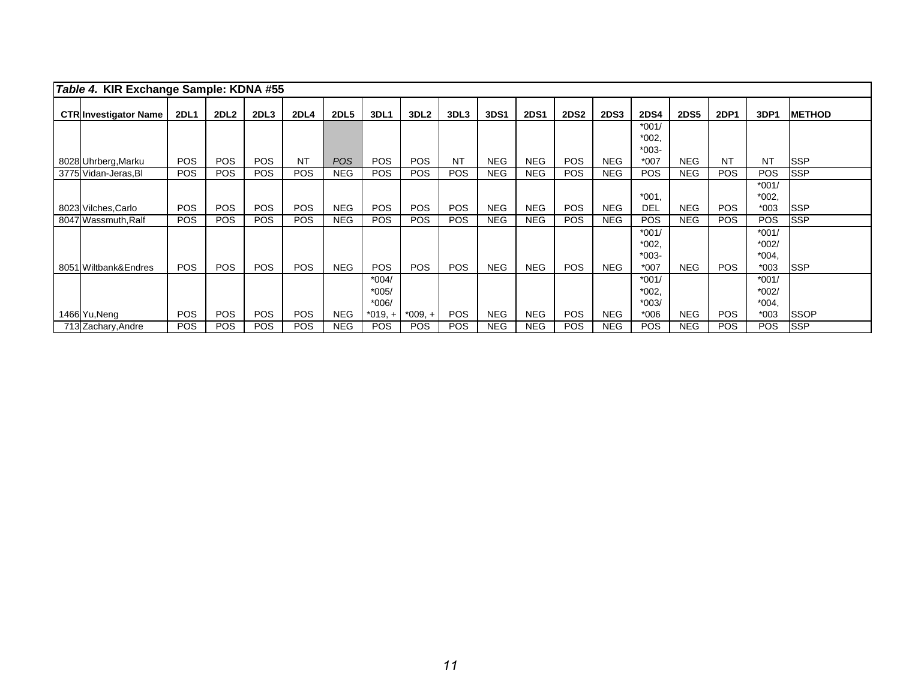| Table 4. KIR Exchange Sample: KDNA #55 |             |                  |            |             |             |             |                  |            |            |             |             |             |             |             |            |            |                |
|----------------------------------------|-------------|------------------|------------|-------------|-------------|-------------|------------------|------------|------------|-------------|-------------|-------------|-------------|-------------|------------|------------|----------------|
| <b>CTR Investigator Name</b>           | <b>2DL1</b> | 2DL <sub>2</sub> | 2DL3       | <b>2DL4</b> | <b>2DL5</b> | <b>3DL1</b> | 3DL <sub>2</sub> | 3DL3       | 3DS1       | <b>2DS1</b> | <b>2DS2</b> | <b>2DS3</b> | <b>2DS4</b> | <b>2DS5</b> | 2DP1       | 3DP1       | <b>IMETHOD</b> |
|                                        |             |                  |            |             |             |             |                  |            |            |             |             |             | $*001/$     |             |            |            |                |
|                                        |             |                  |            |             |             |             |                  |            |            |             |             |             | $*002,$     |             |            |            |                |
|                                        |             |                  |            |             |             |             |                  |            |            |             |             |             | $*003-$     |             |            |            |                |
| 8028 Uhrberg, Marku                    | <b>POS</b>  | <b>POS</b>       | <b>POS</b> | <b>NT</b>   | <b>POS</b>  | <b>POS</b>  | PO <sub>S</sub>  | <b>NT</b>  | <b>NEG</b> | <b>NEG</b>  | POS.        | <b>NEG</b>  | $*007$      | <b>NEG</b>  | <b>NT</b>  | <b>NT</b>  | <b>SSP</b>     |
| 3775 Vidan-Jeras, BI                   | <b>POS</b>  | <b>POS</b>       | <b>POS</b> | <b>POS</b>  | <b>NEG</b>  | POS         | <b>POS</b>       | <b>POS</b> | <b>NEG</b> | <b>NEG</b>  | <b>POS</b>  | <b>NEG</b>  | <b>POS</b>  | <b>NEG</b>  | <b>POS</b> | POS        | <b>SSP</b>     |
|                                        |             |                  |            |             |             |             |                  |            |            |             |             |             |             |             |            | $*001/$    |                |
|                                        |             |                  |            |             |             |             |                  |            |            |             |             |             | $*001$ ,    |             |            | $*002,$    |                |
| 8023 Vilches, Carlo                    | <b>POS</b>  | <b>POS</b>       | <b>POS</b> | <b>POS</b>  | <b>NEG</b>  | <b>POS</b>  | PO <sub>S</sub>  | <b>POS</b> | <b>NEG</b> | <b>NEG</b>  | POS.        | <b>NEG</b>  | <b>DEL</b>  | <b>NEG</b>  | <b>POS</b> | $*003$     | <b>SSP</b>     |
| 8047 Wassmuth, Ralf                    | <b>POS</b>  | POS              | <b>POS</b> | <b>POS</b>  | <b>NEG</b>  | <b>POS</b>  | <b>POS</b>       | <b>POS</b> | NEG.       | <b>NEG</b>  | <b>POS</b>  | <b>NEG</b>  | <b>POS</b>  | <b>NEG</b>  | <b>POS</b> | POS        | <b>SSP</b>     |
|                                        |             |                  |            |             |             |             |                  |            |            |             |             |             | $*001/$     |             |            | $*001/$    |                |
|                                        |             |                  |            |             |             |             |                  |            |            |             |             |             | $*002,$     |             |            | $*002/$    |                |
|                                        |             |                  |            |             |             |             |                  |            |            |             |             |             | $*003-$     |             |            | $*004,$    |                |
| 8051 Wiltbank&Endres                   | POS         | <b>POS</b>       | <b>POS</b> | <b>POS</b>  | <b>NEG</b>  | POS         | <b>POS</b>       | <b>POS</b> | <b>NEG</b> | <b>NEG</b>  | <b>POS</b>  | <b>NEG</b>  | $*007$      | <b>NEG</b>  | <b>POS</b> | $*003$     | <b>SSP</b>     |
|                                        |             |                  |            |             |             | $*004/$     |                  |            |            |             |             |             | $*001/$     |             |            | $*001/$    |                |
|                                        |             |                  |            |             |             | $*005/$     |                  |            |            |             |             |             | $*002,$     |             |            | $*002/$    |                |
|                                        |             |                  |            |             |             | $*006/$     |                  |            |            |             |             |             | $*003/$     |             |            | $*004.$    |                |
| 1466 Yu, Nena                          | POS         | <b>POS</b>       | <b>POS</b> | <b>POS</b>  | <b>NEG</b>  | *019. +     | *009. +          | <b>POS</b> | <b>NEG</b> | <b>NEG</b>  | <b>POS</b>  | <b>NEG</b>  | $*006$      | <b>NEG</b>  | <b>POS</b> | $*003$     | <b>SSOP</b>    |
| 713 Zachary, Andre                     | <b>POS</b>  | <b>POS</b>       | <b>POS</b> | <b>POS</b>  | <b>NEG</b>  | <b>POS</b>  | <b>POS</b>       | <b>POS</b> | <b>NEG</b> | <b>NEG</b>  | <b>POS</b>  | <b>NEG</b>  | <b>POS</b>  | <b>NEG</b>  | <b>POS</b> | <b>POS</b> | <b>SSP</b>     |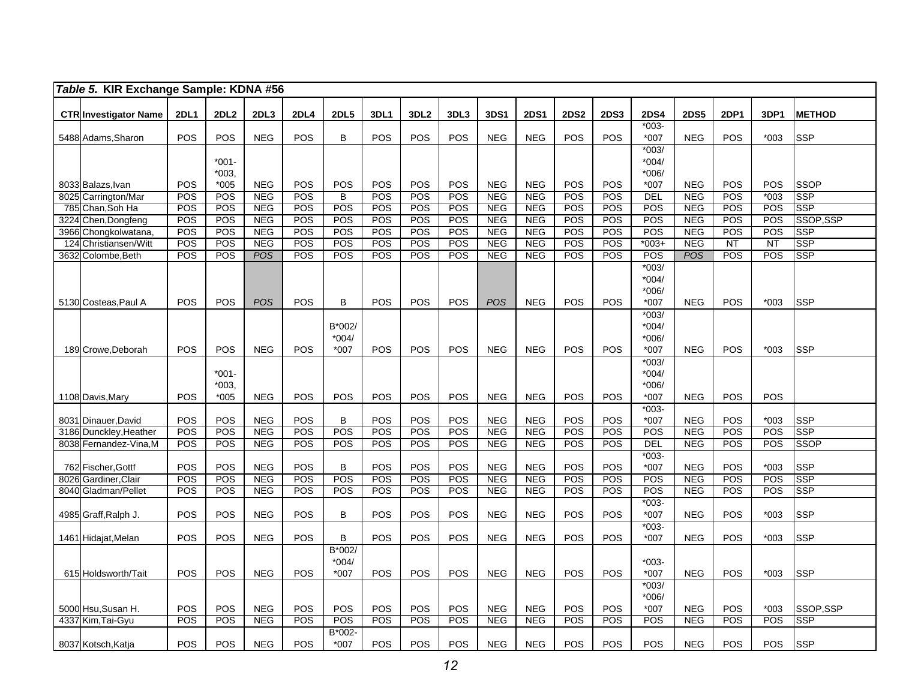| Table 5. KIR Exchange Sample: KDNA #56   |             |                      |                          |             |             |            |                  |            |                          |                          |             |             |               |                          |             |               |                           |
|------------------------------------------|-------------|----------------------|--------------------------|-------------|-------------|------------|------------------|------------|--------------------------|--------------------------|-------------|-------------|---------------|--------------------------|-------------|---------------|---------------------------|
| <b>CTR Investigator Name</b>             | <b>2DL1</b> | <b>2DL2</b>          | 2DL3                     | <b>2DL4</b> | <b>2DL5</b> | 3DL1       | 3DL <sub>2</sub> | 3DL3       | 3DS1                     | <b>2DS1</b>              | <b>2DS2</b> | <b>2DS3</b> | <b>2DS4</b>   | <b>2DS5</b>              | <b>2DP1</b> | 3DP1          | <b>METHOD</b>             |
|                                          |             |                      |                          |             |             |            |                  |            |                          |                          |             |             | $*003-$       |                          |             |               |                           |
| 5488 Adams, Sharon                       | POS         | POS                  | <b>NEG</b>               | POS         | B           | POS        | POS              | POS        | <b>NEG</b>               | <b>NEG</b>               | POS         | <b>POS</b>  | *007          | <b>NEG</b>               | POS         | $*003$        | <b>SSP</b>                |
|                                          |             |                      |                          |             |             |            |                  |            |                          |                          |             |             | $*003/$       |                          |             |               |                           |
|                                          |             | $*001-$              |                          |             |             |            |                  |            |                          |                          |             |             | $*004/$       |                          |             |               |                           |
|                                          |             | $*003.$              |                          |             |             |            |                  |            |                          |                          |             |             | $*006/$       |                          |             |               |                           |
| 8033 Balazs, Ivan<br>8025 Carrington/Mar | POS<br>POS  | $*005$<br><b>POS</b> | <b>NEG</b><br><b>NEG</b> | POS<br>POS  | POS<br>B    | POS<br>POS | POS<br>POS       | POS<br>POS | <b>NEG</b><br><b>NEG</b> | <b>NEG</b><br><b>NEG</b> | POS<br>POS  | POS<br>POS  | *007<br>DEL   | <b>NEG</b><br><b>NEG</b> | POS<br>POS  | POS<br>$*003$ | <b>SSOP</b><br><b>SSP</b> |
| 785 Chan, Soh Ha                         | POS         | POS                  | <b>NEG</b>               | POS         | POS         | POS        | POS              | POS        | <b>NEG</b>               | <b>NEG</b>               | POS         | POS         | POS           | <b>NEG</b>               | POS         | POS           | <b>SSP</b>                |
| 3224 Chen, Dongfeng                      | <b>POS</b>  | <b>POS</b>           | <b>NEG</b>               | POS         | <b>POS</b>  | <b>POS</b> | <b>POS</b>       | POS        | <b>NEG</b>               | <b>NEG</b>               | <b>POS</b>  | POS         | POS           | <b>NEG</b>               | POS         | <b>POS</b>    | SSOP, SSP                 |
| 3966 Chongkolwatana                      | POS         | POS                  | <b>NEG</b>               | POS         | POS         | POS        | POS              | POS        | <b>NEG</b>               | <b>NEG</b>               | POS         | POS         | POS           | <b>NEG</b>               | POS         | POS           | <b>SSP</b>                |
| 124 Christiansen/Witt                    | <b>POS</b>  | POS                  | <b>NEG</b>               | POS         | POS         | POS        | POS              | POS        | <b>NEG</b>               | <b>NEG</b>               | POS         | POS         | $003+$        | <b>NEG</b>               | NT          | NT            | <b>SSP</b>                |
| 3632 Colombe, Beth                       | POS         | POS                  | <b>POS</b>               | POS         | POS         | POS        | POS              | POS        | <b>NEG</b>               | <b>NEG</b>               | POS         | POS         | POS           | <b>POS</b>               | POS         | POS           | <b>SSP</b>                |
|                                          |             |                      |                          |             |             |            |                  |            |                          |                          |             |             | $*003/$       |                          |             |               |                           |
|                                          |             |                      |                          |             |             |            |                  |            |                          |                          |             |             | $*004/$       |                          |             |               |                           |
|                                          |             |                      |                          |             |             |            |                  |            |                          |                          |             |             | *006/         |                          |             |               |                           |
| 5130 Costeas, Paul A                     | <b>POS</b>  | POS                  | <b>POS</b>               | <b>POS</b>  | $\sf B$     | POS        | POS              | <b>POS</b> | POS                      | <b>NEG</b>               | POS         | POS         | *007          | <b>NEG</b>               | POS         | $*003$        | <b>SSP</b>                |
|                                          |             |                      |                          |             |             |            |                  |            |                          |                          |             |             | $*003/$       |                          |             |               |                           |
|                                          |             |                      |                          |             | B*002/      |            |                  |            |                          |                          |             |             | $*004/$       |                          |             |               |                           |
|                                          |             |                      |                          |             | $*004/$     |            |                  |            |                          |                          |             |             | *006/         |                          |             |               |                           |
| 189 Crowe.Deborah                        | POS         | POS                  | <b>NEG</b>               | POS         | $*007$      | POS        | POS              | POS        | <b>NEG</b>               | <b>NEG</b>               | POS         | POS         | $*007$        | <b>NEG</b>               | POS         | $*003$        | <b>SSP</b>                |
|                                          |             |                      |                          |             |             |            |                  |            |                          |                          |             |             | $*003/$       |                          |             |               |                           |
|                                          |             | $*001-$              |                          |             |             |            |                  |            |                          |                          |             |             | *004/         |                          |             |               |                           |
|                                          |             | $*003,$              |                          |             |             |            |                  |            |                          |                          |             |             | *006/         |                          |             |               |                           |
| 1108 Davis, Mary                         | POS         | $*005$               | <b>NEG</b>               | POS         | POS         | <b>POS</b> | POS              | POS        | <b>NEG</b>               | <b>NEG</b>               | POS         | <b>POS</b>  | $*007$        | <b>NEG</b>               | POS         | POS           |                           |
|                                          |             |                      |                          |             |             |            |                  |            |                          |                          |             |             | $*003-$       |                          |             |               |                           |
| 8031 Dinauer, David                      | POS         | POS                  | <b>NEG</b>               | POS         | B           | POS        | POS              | POS        | <b>NEG</b>               | <b>NEG</b>               | POS         | POS         | $*007$        | <b>NEG</b>               | POS         | $*003$        | <b>SSP</b>                |
| 3186 Dunckley, Heather                   | POS         | POS                  | <b>NEG</b>               | POS         | POS         | POS        | POS              | POS        | <b>NEG</b>               | <b>NEG</b>               | POS         | POS         | POS           | <b>NEG</b>               | POS         | POS           | <b>SSP</b>                |
| 8038 Fernandez-Vina, M                   | POS         | POS                  | <b>NEG</b>               | POS         | POS         | POS        | POS              | POS        | <b>NEG</b>               | <b>NEG</b>               | POS         | <b>POS</b>  | <b>DEL</b>    | <b>NEG</b>               | POS         | POS           | <b>SSOP</b>               |
|                                          |             |                      |                          |             |             |            |                  |            |                          |                          |             |             | $*003-$       |                          |             |               |                           |
| 762 Fischer, Gottf                       | POS         | POS                  | <b>NEG</b>               | POS         | B           | POS        | POS              | POS        | <b>NEG</b>               | <b>NEG</b>               | POS         | POS         | $*007$        | <b>NEG</b>               | POS         | $*003$        | <b>SSP</b>                |
| 8026 Gardiner, Clair                     | POS         | <b>POS</b>           | <b>NEG</b>               | POS         | POS         | POS        | POS              | POS        | <b>NEG</b>               | <b>NEG</b>               | POS         | POS         | POS           | <b>NEG</b>               | POS         | POS           | <b>SSP</b>                |
| 8040 Gladman/Pellet                      | POS         | POS                  | <b>NEG</b>               | POS         | POS         | POS        | POS              | POS        | NEG                      | <b>NEG</b>               | POS         | POS         | POS           | NEG                      | POS         | POS           | <b>SSP</b>                |
|                                          |             |                      |                          |             |             |            |                  |            |                          |                          |             |             | $*003-$       |                          |             |               |                           |
| 4985 Graff, Ralph J.                     | POS         | POS                  | <b>NEG</b>               | POS         | B           | <b>POS</b> | POS              | POS        | <b>NEG</b>               | <b>NEG</b>               | POS         | POS         | *007          | <b>NEG</b>               | POS         | $*003$        | <b>SSP</b>                |
|                                          |             |                      |                          |             |             |            |                  |            |                          |                          |             |             | $*003-$       |                          |             |               |                           |
| 1461 Hidajat, Melan                      | POS         | POS                  | <b>NEG</b>               | POS         | B           | POS        | POS              | POS        | <b>NEG</b>               | <b>NEG</b>               | POS         | <b>POS</b>  | $*007$        | <b>NEG</b>               | POS         | $*003$        | <b>SSP</b>                |
|                                          |             |                      |                          |             | B*002/      |            |                  |            |                          |                          |             |             |               |                          |             |               |                           |
|                                          |             |                      |                          |             | $*004/$     |            |                  |            |                          |                          |             |             | $*003-$       |                          |             |               |                           |
| 615 Holdsworth/Tait                      | POS         | POS                  | <b>NEG</b>               | POS         | $*007$      | POS        | POS              | POS        | <b>NEG</b>               | <b>NEG</b>               | POS         | POS         | *007          | <b>NEG</b>               | POS         | $*003$        | <b>SSP</b>                |
|                                          |             |                      |                          |             |             |            |                  |            |                          |                          |             |             | $*003/$       |                          |             |               |                           |
|                                          | POS         | POS                  | <b>NEG</b>               | POS         | POS         | <b>POS</b> | POS              | POS        | <b>NEG</b>               | <b>NEG</b>               | POS         | <b>POS</b>  | *006/<br>*007 | <b>NEG</b>               | POS         |               | SSOP.SSP                  |
| 5000 Hsu, Susan H.<br>4337 Kim, Tai-Gyu  | POS         | POS                  | <b>NEG</b>               | POS         | POS         | POS        | <b>POS</b>       | POS        | <b>NEG</b>               | <b>NEG</b>               | POS         | POS         | POS           | <b>NEG</b>               | POS         | $*003$<br>POS | <b>SSP</b>                |
|                                          |             |                      |                          |             | B*002-      |            |                  |            |                          |                          |             |             |               |                          |             |               |                           |
| 8037 Kotsch, Katja                       | POS         | POS                  | <b>NEG</b>               | POS         | *007        | POS        | POS              | POS        | <b>NEG</b>               | <b>NEG</b>               | POS         | POS         | POS           | <b>NEG</b>               | POS         | POS           | <b>SSP</b>                |
|                                          |             |                      |                          |             |             |            |                  |            |                          |                          |             |             |               |                          |             |               |                           |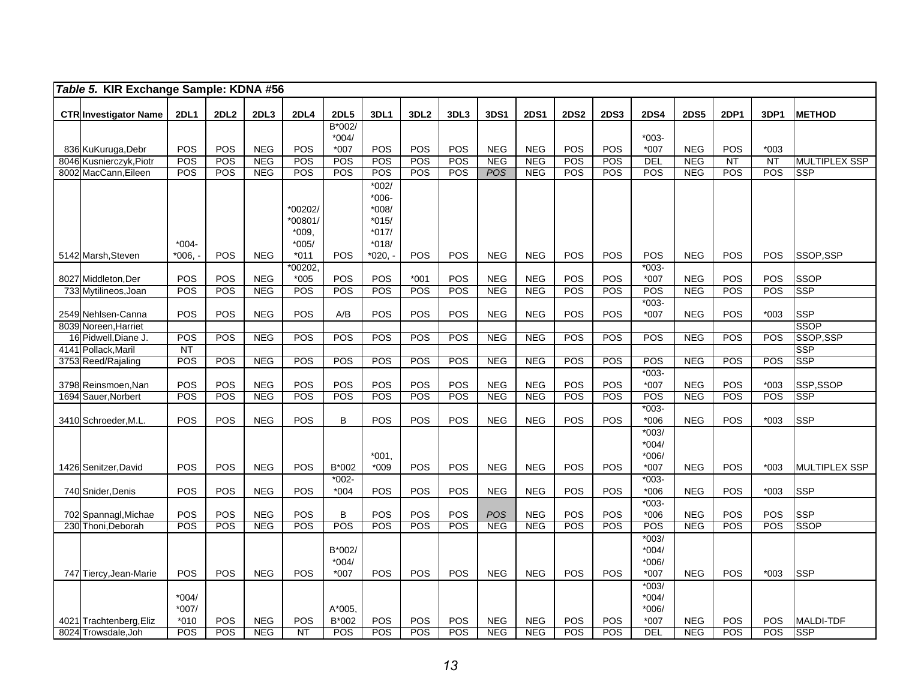| Table 5. KIR Exchange Sample: KDNA #56         |                  |                   |                          |                  |              |                    |                   |            |                          |                          |                   |                   |                   |                   |             |                   |                                |
|------------------------------------------------|------------------|-------------------|--------------------------|------------------|--------------|--------------------|-------------------|------------|--------------------------|--------------------------|-------------------|-------------------|-------------------|-------------------|-------------|-------------------|--------------------------------|
| <b>CTR Investigator Name</b>                   | <b>2DL1</b>      | 2DL2              | 2DL3                     | 2DL4             | <b>2DL5</b>  | 3DL1               | 3DL <sub>2</sub>  | 3DL3       | 3DS1                     | <b>2DS1</b>              | <b>2DS2</b>       | <b>2DS3</b>       | <b>2DS4</b>       | <b>2DS5</b>       | <b>2DP1</b> | 3DP1              | <b>METHOD</b>                  |
|                                                |                  |                   |                          |                  | B*002/       |                    |                   |            |                          |                          |                   |                   |                   |                   |             |                   |                                |
|                                                |                  |                   |                          |                  | $*004/$      |                    |                   |            |                          |                          |                   |                   | $*003-$           |                   |             |                   |                                |
| 836 KuKuruga, Debr                             | POS              | POS               | <b>NEG</b>               | <b>POS</b>       | *007         | POS                | POS               | POS        | <b>NEG</b>               | <b>NEG</b>               | POS               | POS               | $*007$            | <b>NEG</b>        | POS         | $*003$            |                                |
| 8046 Kusnierczyk, Piotr                        | POS              | POS               | <b>NEG</b>               | POS              | POS          | <b>POS</b>         | POS               | <b>POS</b> | <b>NEG</b>               | <b>NEG</b>               | POS               | <b>POS</b>        | <b>DEL</b>        | <b>NEG</b>        | <b>NT</b>   | $\overline{NT}$   | <b>MULTIPLEX SSP</b>           |
| 8002 MacCann. Eileen                           | POS              | POS               | <b>NEG</b>               | POS              | POS          | <b>POS</b>         | <b>POS</b>        | <b>POS</b> | <b>POS</b>               | <b>NEG</b>               | POS               | <b>POS</b>        | <b>POS</b>        | <b>NEG</b>        | POS         | <b>POS</b>        | <b>SSP</b>                     |
|                                                |                  |                   |                          |                  |              | $*002/$            |                   |            |                          |                          |                   |                   |                   |                   |             |                   |                                |
|                                                |                  |                   |                          |                  |              | $*006-$            |                   |            |                          |                          |                   |                   |                   |                   |             |                   |                                |
|                                                |                  |                   |                          | *00202/          |              | $*008/$            |                   |            |                          |                          |                   |                   |                   |                   |             |                   |                                |
|                                                |                  |                   |                          | 00801/           |              | $*015/$            |                   |            |                          |                          |                   |                   |                   |                   |             |                   |                                |
|                                                | $*004-$          |                   |                          | *009.<br>$*005/$ |              | $*017/$<br>$*018/$ |                   |            |                          |                          |                   |                   |                   |                   |             |                   |                                |
| 5142 Marsh, Steven                             | *006.            | <b>POS</b>        | <b>NEG</b>               | *011             | <b>POS</b>   | $*020.$            | POS               | POS        | <b>NEG</b>               | <b>NEG</b>               | <b>POS</b>        | POS               | POS               | <b>NEG</b>        | POS         | POS               | SSOP,SSP                       |
|                                                |                  |                   |                          | $*00202,$        |              |                    |                   |            |                          |                          |                   |                   | $*003-$           |                   |             |                   |                                |
| 8027 Middleton, Der                            | POS              | POS               | <b>NEG</b>               | $*005$           | POS          | POS                | $*001$            | <b>POS</b> | <b>NEG</b>               | <b>NEG</b>               | POS               | <b>POS</b>        | $*007$            | <b>NEG</b>        | POS         | POS               | <b>SSOP</b>                    |
| 733 Mytilineos, Joan                           | POS              | POS               | <b>NEG</b>               | POS              | POS          | <b>POS</b>         | <b>POS</b>        | POS        | <b>NEG</b>               | <b>NEG</b>               | POS               | <b>POS</b>        | <b>POS</b>        | <b>NEG</b>        | POS         | POS               | <b>SSP</b>                     |
|                                                |                  |                   |                          |                  |              |                    |                   |            |                          |                          |                   |                   | $*003-$           |                   |             |                   |                                |
| 2549 Nehlsen-Canna                             | POS              | POS               | <b>NEG</b>               | POS              | A/B          | POS                | POS               | POS        | <b>NEG</b>               | <b>NEG</b>               | POS               | <b>POS</b>        | *007              | <b>NEG</b>        | POS         | $*003$            | <b>SSP</b>                     |
| 8039 Noreen. Harriet                           |                  |                   |                          |                  |              |                    |                   |            |                          |                          |                   |                   |                   |                   |             |                   | <b>SSOP</b>                    |
| 16 Pidwell, Diane J.                           | POS              | POS               | <b>NEG</b>               | POS              | POS          | <b>POS</b>         | POS               | POS        | <b>NEG</b>               | <b>NEG</b>               | POS               | POS               | POS               | <b>NEG</b>        | POS         | POS               | SSOP,SSP                       |
| 4141 Pollack, Maril                            | <b>NT</b><br>POS | POS               | <b>NEG</b>               | POS              | POS          | <b>POS</b>         | POS               | POS        | <b>NEG</b>               | <b>NEG</b>               | <b>POS</b>        | <b>POS</b>        | $\overline{POS}$  | <b>NEG</b>        | POS         |                   | <b>SSP</b><br><b>SSP</b>       |
| 3753 Reed/Rajaling                             |                  |                   |                          |                  |              |                    |                   |            |                          |                          |                   |                   | $*003-$           |                   |             | POS               |                                |
| 3798 Reinsmoen, Nan                            | POS              | POS               | <b>NEG</b>               | POS              | POS          | POS                | POS               | POS        | <b>NEG</b>               | <b>NEG</b>               | POS               | POS               | *007              | <b>NEG</b>        | POS         | $*003$            | SSP,SSOP                       |
| 1694 Sauer, Norbert                            | POS              | POS               | <b>NEG</b>               | POS              | POS          | POS                | POS               | <b>POS</b> | <b>NEG</b>               | <b>NEG</b>               | POS               | POS               | <b>POS</b>        | <b>NEG</b>        | POS         | POS               | <b>SSP</b>                     |
|                                                |                  |                   |                          |                  |              |                    |                   |            |                          |                          |                   |                   | $*003-$           |                   |             |                   |                                |
| 3410 Schroeder, M.L.                           | POS              | POS               | <b>NEG</b>               | <b>POS</b>       | B            | <b>POS</b>         | <b>POS</b>        | <b>POS</b> | <b>NEG</b>               | <b>NEG</b>               | <b>POS</b>        | <b>POS</b>        | $*006$            | <b>NEG</b>        | POS         | $*003$            | <b>SSP</b>                     |
|                                                |                  |                   |                          |                  |              |                    |                   |            |                          |                          |                   |                   | $*003/$           |                   |             |                   |                                |
|                                                |                  |                   |                          |                  |              |                    |                   |            |                          |                          |                   |                   | $*004/$           |                   |             |                   |                                |
|                                                |                  |                   |                          |                  |              | $*001.$            |                   |            |                          |                          |                   |                   | $*006/$           |                   |             |                   |                                |
| 1426 Senitzer, David                           | POS              | <b>POS</b>        | <b>NEG</b>               | <b>POS</b>       | B*002        | $*009$             | POS               | <b>POS</b> | <b>NEG</b>               | <b>NEG</b>               | POS               | POS               | $*007$            | <b>NEG</b>        | POS         | $*003$            | <b>MULTIPLEX SSP</b>           |
|                                                |                  | POS               |                          |                  | $*002-$      |                    |                   | POS        |                          |                          |                   |                   | $*003-$           |                   | POS         |                   | <b>SSP</b>                     |
| 740 Snider, Denis                              | POS              |                   | <b>NEG</b>               | POS              | $*004$       | POS                | POS               |            | <b>NEG</b>               | <b>NEG</b>               | POS               | <b>POS</b>        | $*006$<br>$*003-$ | <b>NEG</b>        |             | $*003$            |                                |
| 702 Spannagl, Michae                           | POS              | POS               | <b>NEG</b>               | POS              | B            | POS                | POS               | POS        | POS                      | <b>NEG</b>               | POS               | POS               | $*006$            | <b>NEG</b>        | POS         | POS               | <b>SSP</b>                     |
| 230 Thoni.Deborah                              | POS              | POS               | <b>NEG</b>               | POS              | POS          | <b>POS</b>         | POS               | <b>POS</b> | <b>NEG</b>               | <b>NEG</b>               | <b>POS</b>        | POS               | POS               | <b>NEG</b>        | POS         | POS               | <b>SSOP</b>                    |
|                                                |                  |                   |                          |                  |              |                    |                   |            |                          |                          |                   |                   | $*003/$           |                   |             |                   |                                |
|                                                |                  |                   |                          |                  | B*002/       |                    |                   |            |                          |                          |                   |                   | $*004/$           |                   |             |                   |                                |
|                                                |                  |                   |                          |                  | $*004/$      |                    |                   |            |                          |                          |                   |                   | $*006/$           |                   |             |                   |                                |
| 747 Tiercy, Jean-Marie                         | POS              | <b>POS</b>        | <b>NEG</b>               | POS              | $*007$       | <b>POS</b>         | <b>POS</b>        | <b>POS</b> | <b>NEG</b>               | <b>NEG</b>               | POS               | POS               | $*007$            | <b>NEG</b>        | POS         | $*003$            | <b>SSP</b>                     |
|                                                |                  |                   |                          |                  |              |                    |                   |            |                          |                          |                   |                   | $*003/$           |                   |             |                   |                                |
|                                                | $*004/$          |                   |                          |                  |              |                    |                   |            |                          |                          |                   |                   | $*004/$           |                   |             |                   |                                |
|                                                | $*007/$          |                   |                          |                  | A*005,       |                    |                   |            |                          |                          |                   |                   | $*006/$           |                   |             |                   |                                |
| 4021 Trachtenberg, Eliz<br>8024 Trowsdale, Joh | $*010$<br>POS    | <b>POS</b><br>POS | <b>NEG</b><br><b>NEG</b> | POS<br><b>NT</b> | B*002<br>POS | POS<br>POS         | POS<br><b>POS</b> | POS<br>POS | <b>NEG</b><br><b>NEG</b> | <b>NEG</b><br><b>NEG</b> | <b>POS</b><br>POS | POS<br><b>POS</b> | $*007$<br>DEL     | <b>NEG</b><br>NEG | POS<br>POS  | <b>POS</b><br>POS | <b>MALDI-TDF</b><br><b>SSP</b> |
|                                                |                  |                   |                          |                  |              |                    |                   |            |                          |                          |                   |                   |                   |                   |             |                   |                                |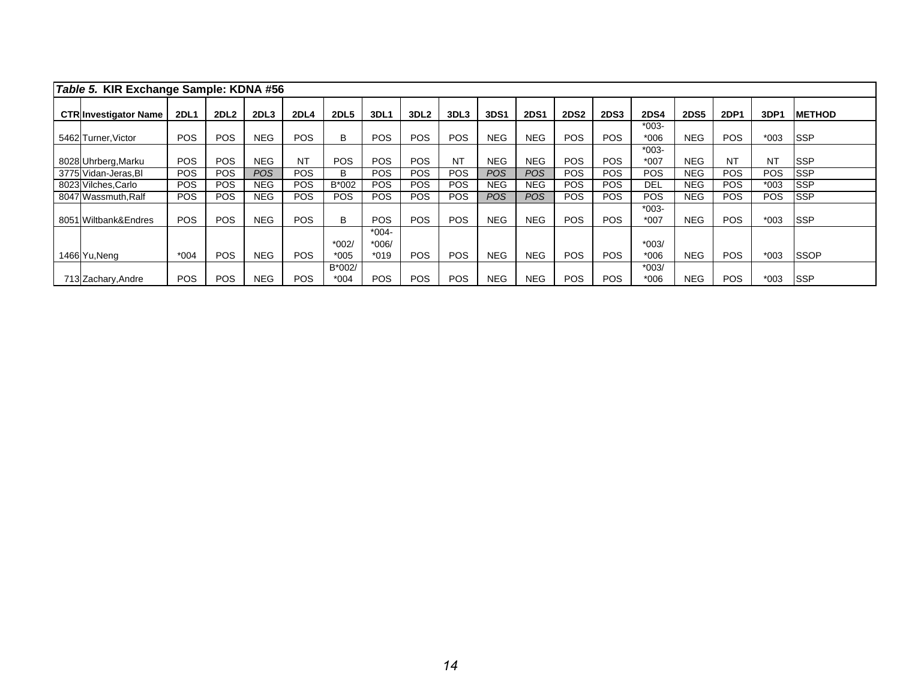| Table 5. KIR Exchange Sample: KDNA #56 |             |                  |                  |             |                  |                    |                  |            |            |             |             |             |                   |             |             |            |                |
|----------------------------------------|-------------|------------------|------------------|-------------|------------------|--------------------|------------------|------------|------------|-------------|-------------|-------------|-------------------|-------------|-------------|------------|----------------|
| <b>CTR Investigator Name</b>           | <b>2DL1</b> | 2DL <sub>2</sub> | 2DL <sub>3</sub> | <b>2DL4</b> | <b>2DL5</b>      | 3DL1               | 3DL <sub>2</sub> | 3DL3       | 3DS1       | <b>2DS1</b> | <b>2DS2</b> | <b>2DS3</b> | <b>2DS4</b>       | <b>2DS5</b> | <b>2DP1</b> | 3DP1       | <b>IMETHOD</b> |
| 5462 Turner, Victor                    | <b>POS</b>  | <b>POS</b>       | <b>NEG</b>       | POS.        | B                | <b>POS</b>         | <b>POS</b>       | <b>POS</b> | <b>NEG</b> | <b>NEG</b>  | <b>POS</b>  | <b>POS</b>  | $*003-$<br>$*006$ | <b>NEG</b>  | <b>POS</b>  | $*003$     | <b>ISSP</b>    |
| 8028 Uhrberg, Marku                    | <b>POS</b>  | <b>POS</b>       | <b>NEG</b>       | <b>NT</b>   | <b>POS</b>       | <b>POS</b>         | <b>POS</b>       | <b>NT</b>  | <b>NEG</b> | <b>NEG</b>  | <b>POS</b>  | POS.        | $*003-$<br>$*007$ | <b>NEG</b>  | <b>NT</b>   | <b>NT</b>  | <b>ISSP</b>    |
| 3775 Vidan-Jeras, BI                   | <b>POS</b>  | <b>POS</b>       | <b>POS</b>       | POS.        | B                | <b>POS</b>         | POS.             | <b>POS</b> | <b>POS</b> | POS.        | <b>POS</b>  | POS.        | <b>POS</b>        | <b>NEG</b>  | <b>POS</b>  | <b>POS</b> | <b>ISSP</b>    |
| 8023 Vilches, Carlo                    | POS         | <b>POS</b>       | <b>NEG</b>       | <b>POS</b>  | B*002            | <b>POS</b>         | POS.             | <b>POS</b> | NEG.       | <b>NEG</b>  | <b>POS</b>  | POS.        | DEL               | <b>NEG</b>  | <b>POS</b>  | $*003$     | <b>SSP</b>     |
| 8047 Wassmuth, Ralf                    | POS         | <b>POS</b>       | <b>NEG</b>       | <b>POS</b>  | <b>POS</b>       | <b>POS</b>         | <b>POS</b>       | <b>POS</b> | POS.       | <b>POS</b>  | POS.        | POS.        | <b>POS</b>        | <b>NEG</b>  | <b>POS</b>  | <b>POS</b> | <b>SSP</b>     |
| 8051 Wiltbank&Endres                   | <b>POS</b>  | <b>POS</b>       | <b>NEG</b>       | POS.        | B                | <b>POS</b>         | <b>POS</b>       | <b>POS</b> | <b>NEG</b> | <b>NEG</b>  | <b>POS</b>  | POS.        | $*003-$<br>$*007$ | <b>NEG</b>  | <b>POS</b>  | $*003$     | <b>ISSP</b>    |
|                                        |             |                  |                  |             | $*002/$          | $*004-$<br>$*006/$ |                  |            |            |             |             |             | $*003/$           |             |             |            |                |
| 1466 Yu, Neng                          | $*004$      | <b>POS</b>       | <b>NEG</b>       | POS.        | $*005$           | $*019$             | <b>POS</b>       | <b>POS</b> | <b>NEG</b> | <b>NEG</b>  | <b>POS</b>  | <b>POS</b>  | $*006$            | <b>NEG</b>  | <b>POS</b>  | $*003$     | <b>SSOP</b>    |
| 713 Zachary, Andre                     | <b>POS</b>  | <b>POS</b>       | <b>NEG</b>       | <b>POS</b>  | B*002/<br>$*004$ | <b>POS</b>         | <b>POS</b>       | <b>POS</b> | <b>NEG</b> | <b>NEG</b>  | <b>POS</b>  | <b>POS</b>  | $*003/$<br>$*006$ | <b>NEG</b>  | <b>POS</b>  | $*003$     | <b>ISSP</b>    |